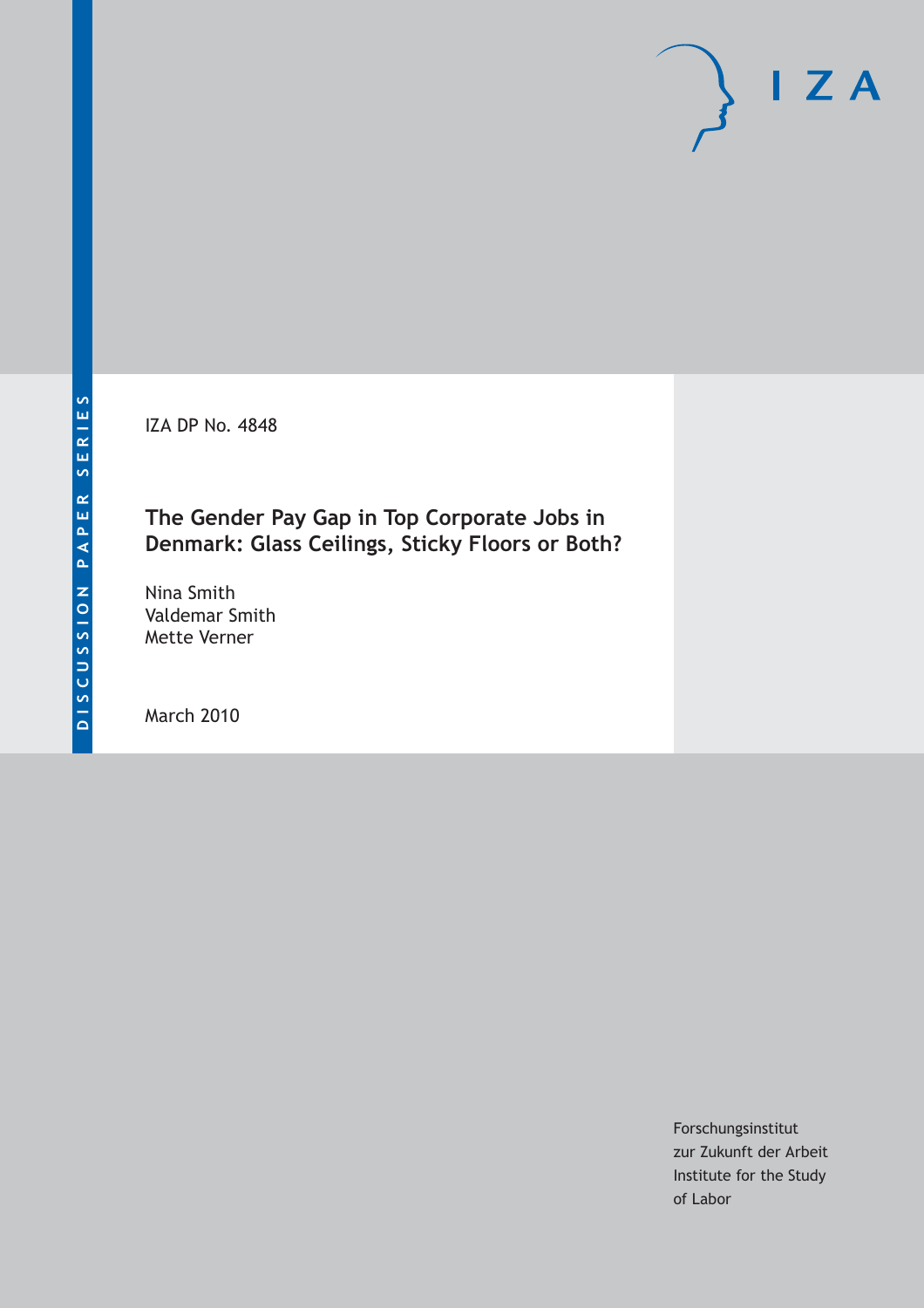IZA DP No. 4848

# **The Gender Pay Gap in Top Corporate Jobs in Denmark: Glass Ceilings, Sticky Floors or Both?**

Nina Smith Valdemar Smith Mette Verner

March 2010

Forschungsinstitut zur Zukunft der Arbeit Institute for the Study of Labor

 $I Z A$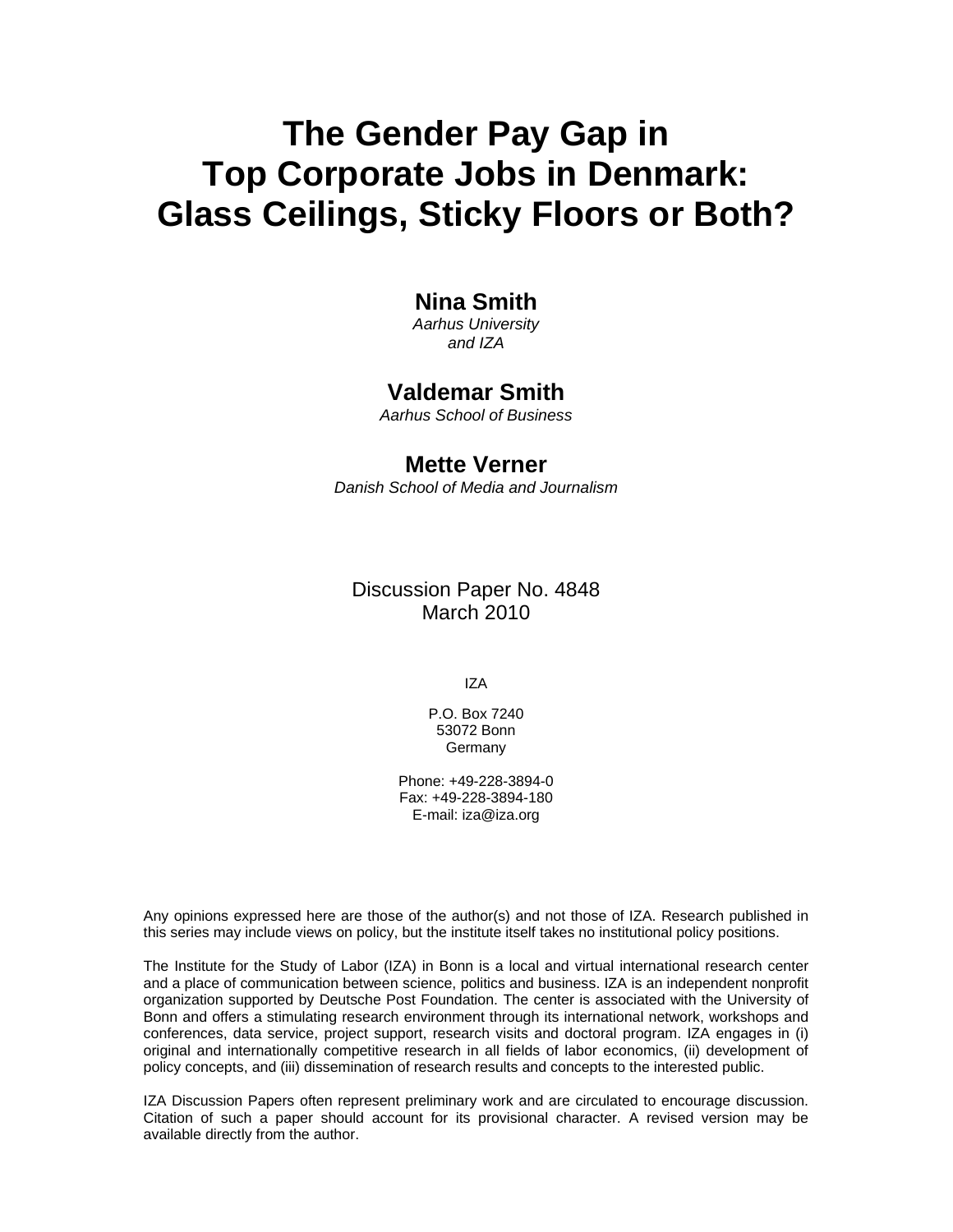# **The Gender Pay Gap in Top Corporate Jobs in Denmark: Glass Ceilings, Sticky Floors or Both?**

## **Nina Smith**

*Aarhus University and IZA* 

## **Valdemar Smith**

*Aarhus School of Business* 

### **Mette Verner**

*Danish School of Media and Journalism* 

## Discussion Paper No. 4848 March 2010

IZA

P.O. Box 7240 53072 Bonn Germany

Phone: +49-228-3894-0 Fax: +49-228-3894-180 E-mail: iza@iza.org

Any opinions expressed here are those of the author(s) and not those of IZA. Research published in this series may include views on policy, but the institute itself takes no institutional policy positions.

The Institute for the Study of Labor (IZA) in Bonn is a local and virtual international research center and a place of communication between science, politics and business. IZA is an independent nonprofit organization supported by Deutsche Post Foundation. The center is associated with the University of Bonn and offers a stimulating research environment through its international network, workshops and conferences, data service, project support, research visits and doctoral program. IZA engages in (i) original and internationally competitive research in all fields of labor economics, (ii) development of policy concepts, and (iii) dissemination of research results and concepts to the interested public.

IZA Discussion Papers often represent preliminary work and are circulated to encourage discussion. Citation of such a paper should account for its provisional character. A revised version may be available directly from the author.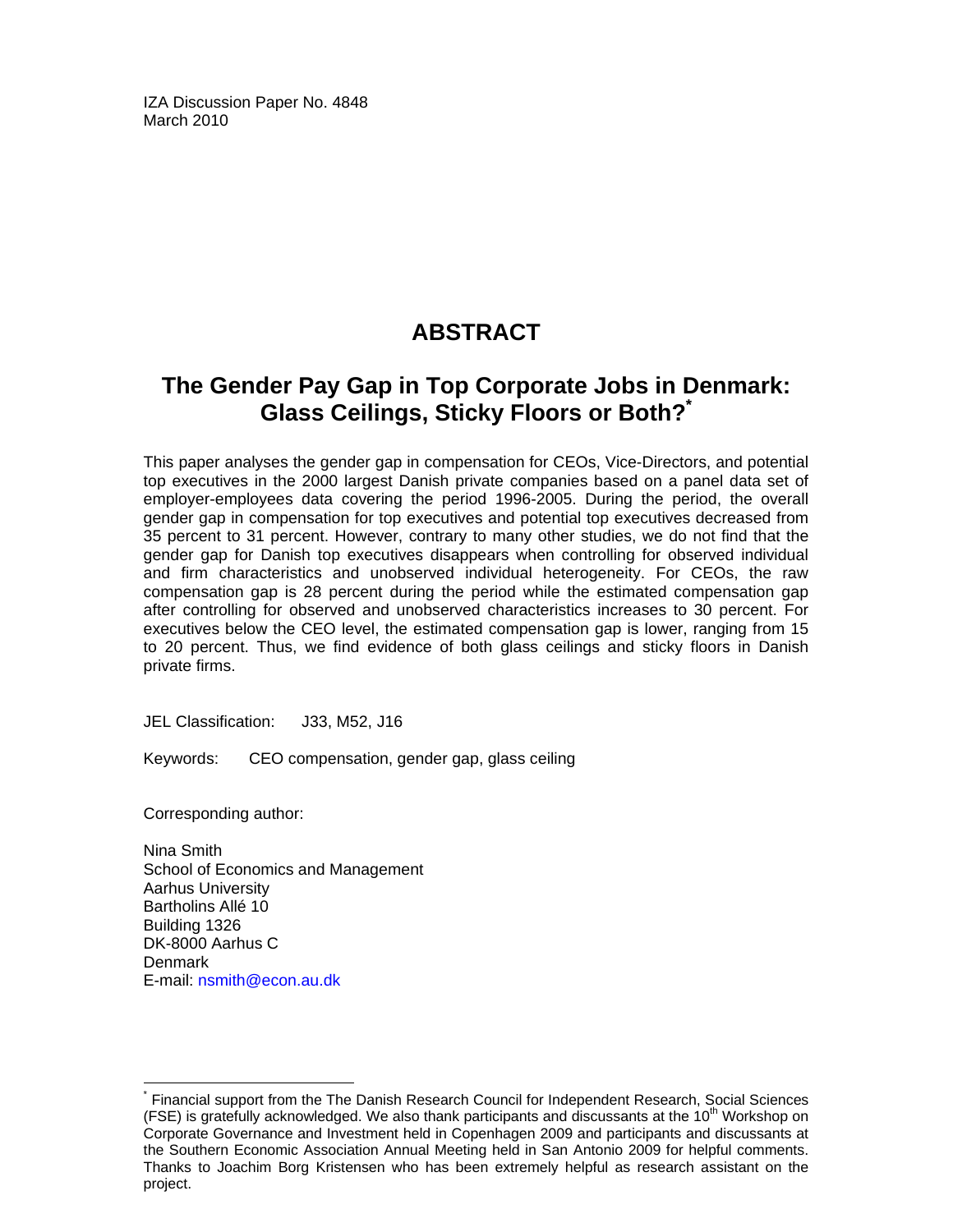IZA Discussion Paper No. 4848 March 2010

# **ABSTRACT**

# **The Gender Pay Gap in Top Corporate Jobs in Denmark: Glass Ceilings, Sticky Floors or Both?\***

This paper analyses the gender gap in compensation for CEOs, Vice-Directors, and potential top executives in the 2000 largest Danish private companies based on a panel data set of employer-employees data covering the period 1996-2005. During the period, the overall gender gap in compensation for top executives and potential top executives decreased from 35 percent to 31 percent. However, contrary to many other studies, we do not find that the gender gap for Danish top executives disappears when controlling for observed individual and firm characteristics and unobserved individual heterogeneity. For CEOs, the raw compensation gap is 28 percent during the period while the estimated compensation gap after controlling for observed and unobserved characteristics increases to 30 percent. For executives below the CEO level, the estimated compensation gap is lower, ranging from 15 to 20 percent. Thus, we find evidence of both glass ceilings and sticky floors in Danish private firms.

JEL Classification: J33, M52, J16

Keywords: CEO compensation, gender gap, glass ceiling

Corresponding author:

-

Nina Smith School of Economics and Management Aarhus University Bartholins Allé 10 Building 1326 DK-8000 Aarhus C Denmark E-mail: nsmith@econ.au.dk

<sup>\*</sup> Financial support from the The Danish Research Council for Independent Research, Social Sciences (FSE) is gratefully acknowledged. We also thank participants and discussants at the 10<sup>th</sup> Workshop on Corporate Governance and Investment held in Copenhagen 2009 and participants and discussants at the Southern Economic Association Annual Meeting held in San Antonio 2009 for helpful comments. Thanks to Joachim Borg Kristensen who has been extremely helpful as research assistant on the project.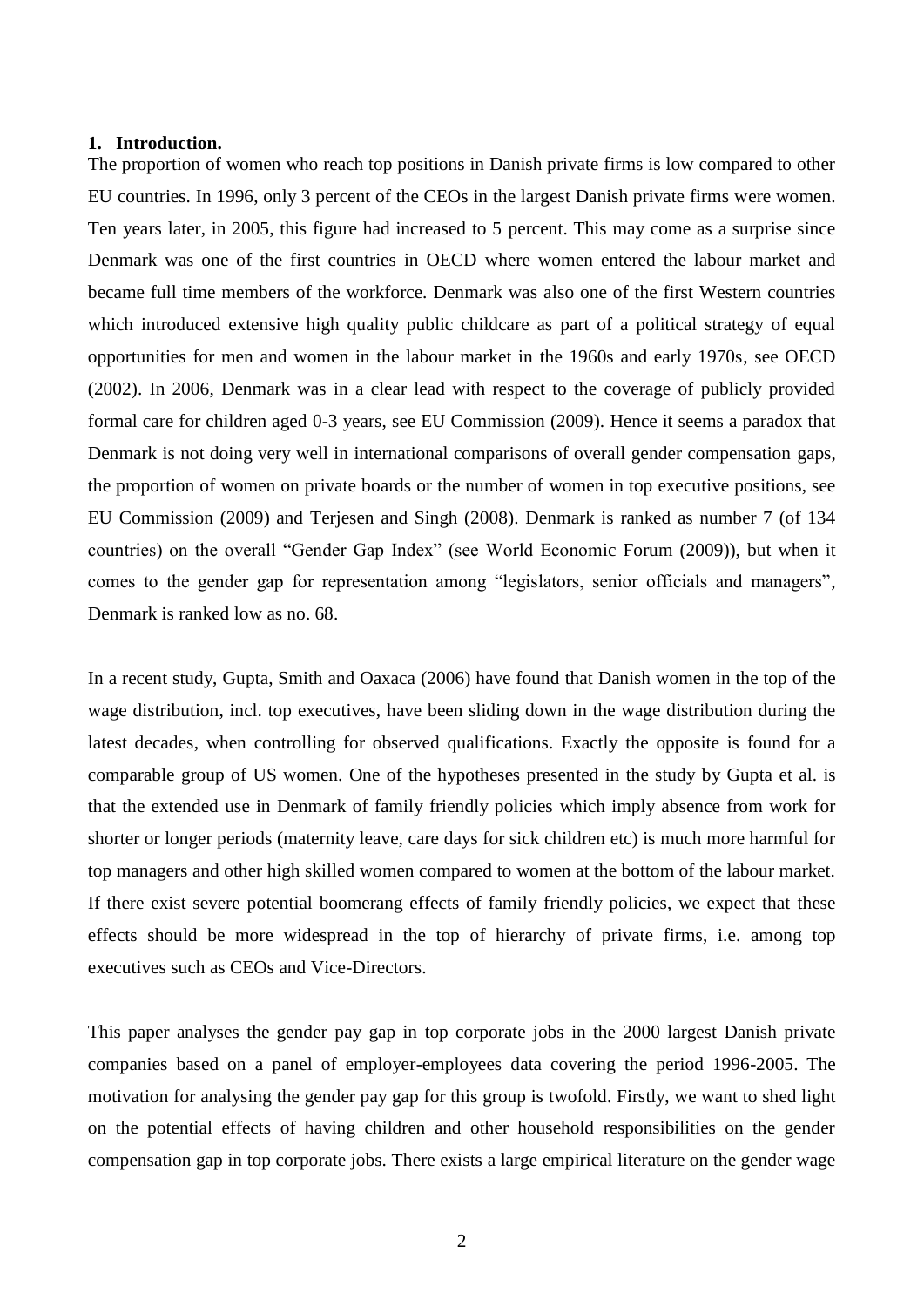#### **1. Introduction.**

The proportion of women who reach top positions in Danish private firms is low compared to other EU countries. In 1996, only 3 percent of the CEOs in the largest Danish private firms were women. Ten years later, in 2005, this figure had increased to 5 percent. This may come as a surprise since Denmark was one of the first countries in OECD where women entered the labour market and became full time members of the workforce. Denmark was also one of the first Western countries which introduced extensive high quality public childcare as part of a political strategy of equal opportunities for men and women in the labour market in the 1960s and early 1970s, see OECD (2002). In 2006, Denmark was in a clear lead with respect to the coverage of publicly provided formal care for children aged 0-3 years, see EU Commission (2009). Hence it seems a paradox that Denmark is not doing very well in international comparisons of overall gender compensation gaps, the proportion of women on private boards or the number of women in top executive positions, see EU Commission (2009) and Terjesen and Singh (2008). Denmark is ranked as number 7 (of 134 countries) on the overall "Gender Gap Index" (see World Economic Forum (2009)), but when it comes to the gender gap for representation among "legislators, senior officials and managers", Denmark is ranked low as no. 68.

In a recent study, Gupta, Smith and Oaxaca (2006) have found that Danish women in the top of the wage distribution, incl. top executives, have been sliding down in the wage distribution during the latest decades, when controlling for observed qualifications. Exactly the opposite is found for a comparable group of US women. One of the hypotheses presented in the study by Gupta et al. is that the extended use in Denmark of family friendly policies which imply absence from work for shorter or longer periods (maternity leave, care days for sick children etc) is much more harmful for top managers and other high skilled women compared to women at the bottom of the labour market. If there exist severe potential boomerang effects of family friendly policies, we expect that these effects should be more widespread in the top of hierarchy of private firms, i.e. among top executives such as CEOs and Vice-Directors.

This paper analyses the gender pay gap in top corporate jobs in the 2000 largest Danish private companies based on a panel of employer-employees data covering the period 1996-2005. The motivation for analysing the gender pay gap for this group is twofold. Firstly, we want to shed light on the potential effects of having children and other household responsibilities on the gender compensation gap in top corporate jobs. There exists a large empirical literature on the gender wage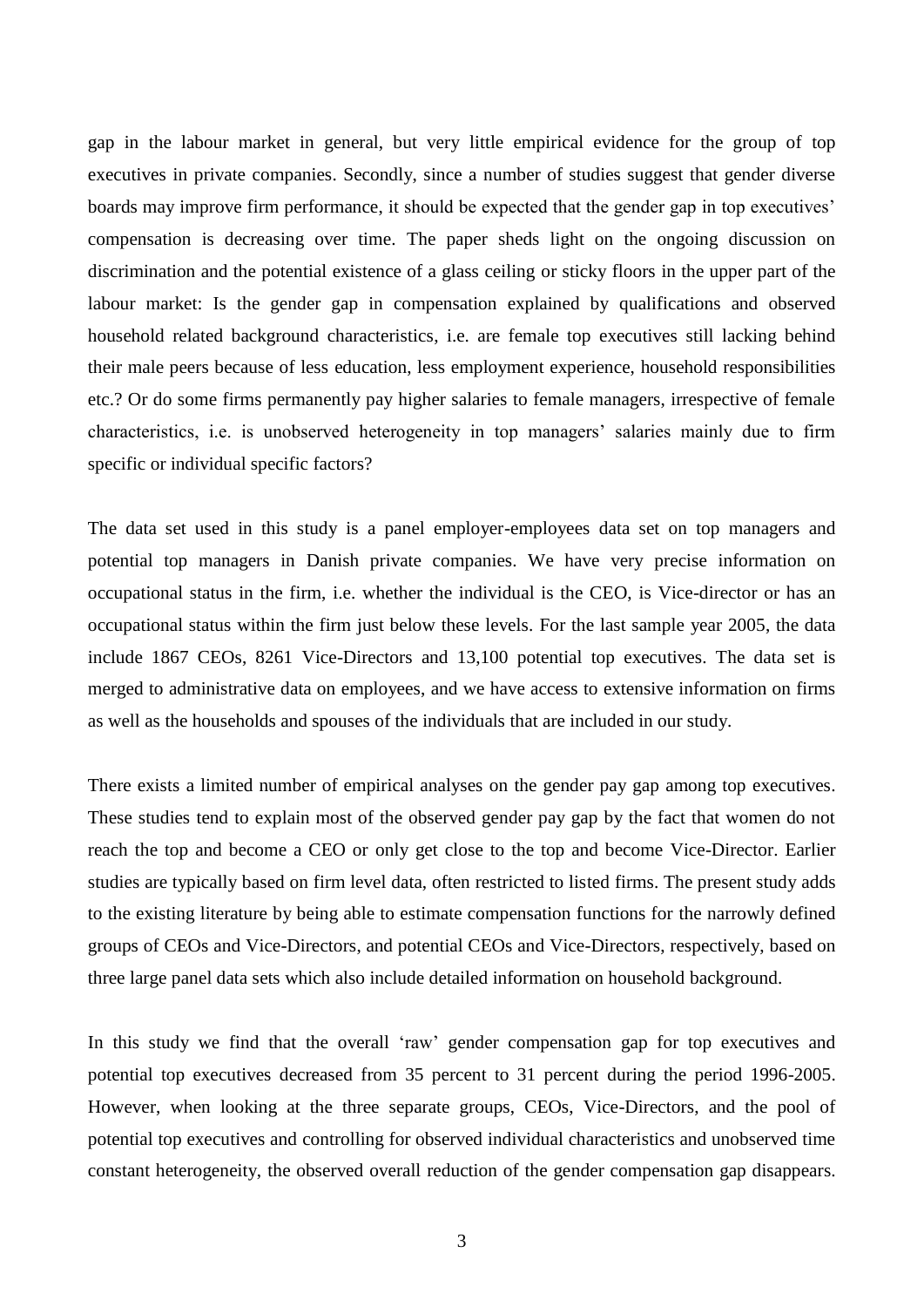gap in the labour market in general, but very little empirical evidence for the group of top executives in private companies. Secondly, since a number of studies suggest that gender diverse boards may improve firm performance, it should be expected that the gender gap in top executives' compensation is decreasing over time. The paper sheds light on the ongoing discussion on discrimination and the potential existence of a glass ceiling or sticky floors in the upper part of the labour market: Is the gender gap in compensation explained by qualifications and observed household related background characteristics, i.e. are female top executives still lacking behind their male peers because of less education, less employment experience, household responsibilities etc.? Or do some firms permanently pay higher salaries to female managers, irrespective of female characteristics, i.e. is unobserved heterogeneity in top managers' salaries mainly due to firm specific or individual specific factors?

The data set used in this study is a panel employer-employees data set on top managers and potential top managers in Danish private companies. We have very precise information on occupational status in the firm, i.e. whether the individual is the CEO, is Vice-director or has an occupational status within the firm just below these levels. For the last sample year 2005, the data include 1867 CEOs, 8261 Vice-Directors and 13,100 potential top executives. The data set is merged to administrative data on employees, and we have access to extensive information on firms as well as the households and spouses of the individuals that are included in our study.

There exists a limited number of empirical analyses on the gender pay gap among top executives. These studies tend to explain most of the observed gender pay gap by the fact that women do not reach the top and become a CEO or only get close to the top and become Vice-Director. Earlier studies are typically based on firm level data, often restricted to listed firms. The present study adds to the existing literature by being able to estimate compensation functions for the narrowly defined groups of CEOs and Vice-Directors, and potential CEOs and Vice-Directors, respectively, based on three large panel data sets which also include detailed information on household background.

In this study we find that the overall 'raw' gender compensation gap for top executives and potential top executives decreased from 35 percent to 31 percent during the period 1996-2005. However, when looking at the three separate groups, CEOs, Vice-Directors, and the pool of potential top executives and controlling for observed individual characteristics and unobserved time constant heterogeneity, the observed overall reduction of the gender compensation gap disappears.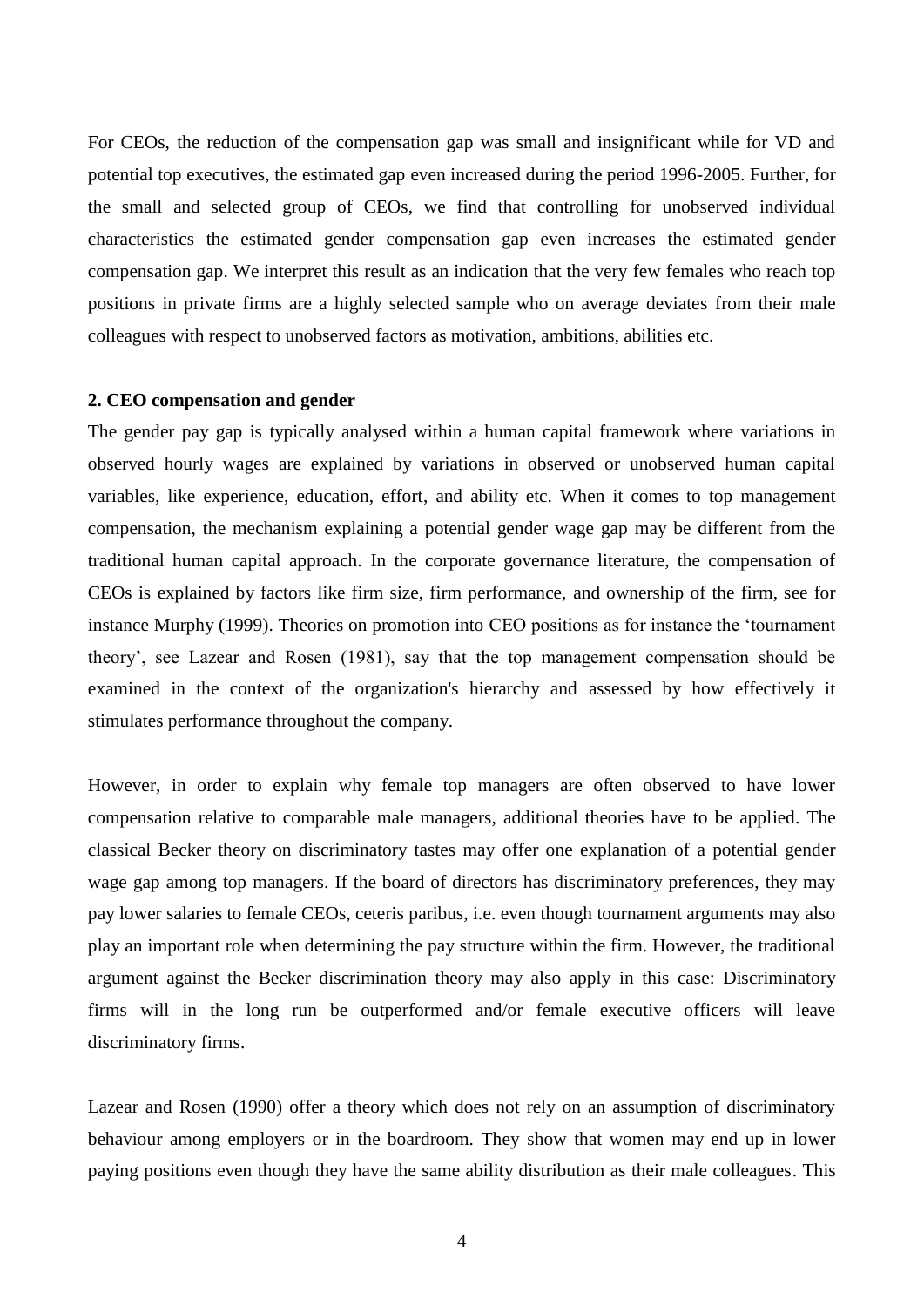For CEOs, the reduction of the compensation gap was small and insignificant while for VD and potential top executives, the estimated gap even increased during the period 1996-2005. Further, for the small and selected group of CEOs, we find that controlling for unobserved individual characteristics the estimated gender compensation gap even increases the estimated gender compensation gap. We interpret this result as an indication that the very few females who reach top positions in private firms are a highly selected sample who on average deviates from their male colleagues with respect to unobserved factors as motivation, ambitions, abilities etc.

#### **2. CEO compensation and gender**

The gender pay gap is typically analysed within a human capital framework where variations in observed hourly wages are explained by variations in observed or unobserved human capital variables, like experience, education, effort, and ability etc. When it comes to top management compensation, the mechanism explaining a potential gender wage gap may be different from the traditional human capital approach. In the corporate governance literature, the compensation of CEOs is explained by factors like firm size, firm performance, and ownership of the firm, see for instance Murphy (1999). Theories on promotion into CEO positions as for instance the 'tournament theory', see Lazear and Rosen (1981), say that the top management compensation should be examined in the context of the organization's hierarchy and assessed by how effectively it stimulates performance throughout the company.

However, in order to explain why female top managers are often observed to have lower compensation relative to comparable male managers, additional theories have to be applied. The classical Becker theory on discriminatory tastes may offer one explanation of a potential gender wage gap among top managers. If the board of directors has discriminatory preferences, they may pay lower salaries to female CEOs, ceteris paribus, i.e. even though tournament arguments may also play an important role when determining the pay structure within the firm. However, the traditional argument against the Becker discrimination theory may also apply in this case: Discriminatory firms will in the long run be outperformed and/or female executive officers will leave discriminatory firms.

Lazear and Rosen (1990) offer a theory which does not rely on an assumption of discriminatory behaviour among employers or in the boardroom. They show that women may end up in lower paying positions even though they have the same ability distribution as their male colleagues. This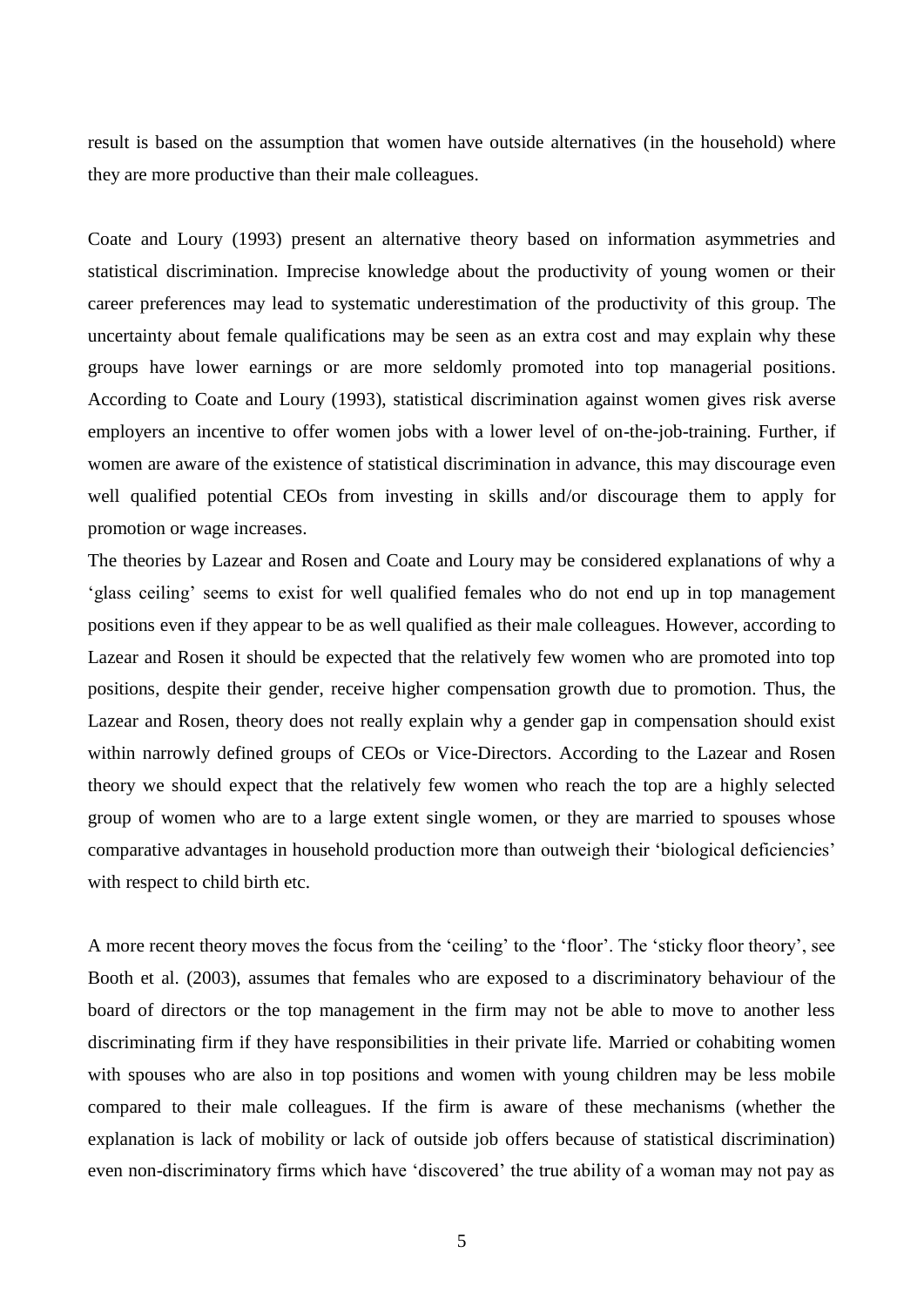result is based on the assumption that women have outside alternatives (in the household) where they are more productive than their male colleagues.

Coate and Loury (1993) present an alternative theory based on information asymmetries and statistical discrimination. Imprecise knowledge about the productivity of young women or their career preferences may lead to systematic underestimation of the productivity of this group. The uncertainty about female qualifications may be seen as an extra cost and may explain why these groups have lower earnings or are more seldomly promoted into top managerial positions. According to Coate and Loury (1993), statistical discrimination against women gives risk averse employers an incentive to offer women jobs with a lower level of on-the-job-training. Further, if women are aware of the existence of statistical discrimination in advance, this may discourage even well qualified potential CEOs from investing in skills and/or discourage them to apply for promotion or wage increases.

The theories by Lazear and Rosen and Coate and Loury may be considered explanations of why a ‗glass ceiling' seems to exist for well qualified females who do not end up in top management positions even if they appear to be as well qualified as their male colleagues. However, according to Lazear and Rosen it should be expected that the relatively few women who are promoted into top positions, despite their gender, receive higher compensation growth due to promotion. Thus, the Lazear and Rosen, theory does not really explain why a gender gap in compensation should exist within narrowly defined groups of CEOs or Vice-Directors. According to the Lazear and Rosen theory we should expect that the relatively few women who reach the top are a highly selected group of women who are to a large extent single women, or they are married to spouses whose comparative advantages in household production more than outweigh their ‗biological deficiencies' with respect to child birth etc.

A more recent theory moves the focus from the 'ceiling' to the 'floor'. The 'sticky floor theory', see Booth et al. (2003), assumes that females who are exposed to a discriminatory behaviour of the board of directors or the top management in the firm may not be able to move to another less discriminating firm if they have responsibilities in their private life. Married or cohabiting women with spouses who are also in top positions and women with young children may be less mobile compared to their male colleagues. If the firm is aware of these mechanisms (whether the explanation is lack of mobility or lack of outside job offers because of statistical discrimination) even non-discriminatory firms which have 'discovered' the true ability of a woman may not pay as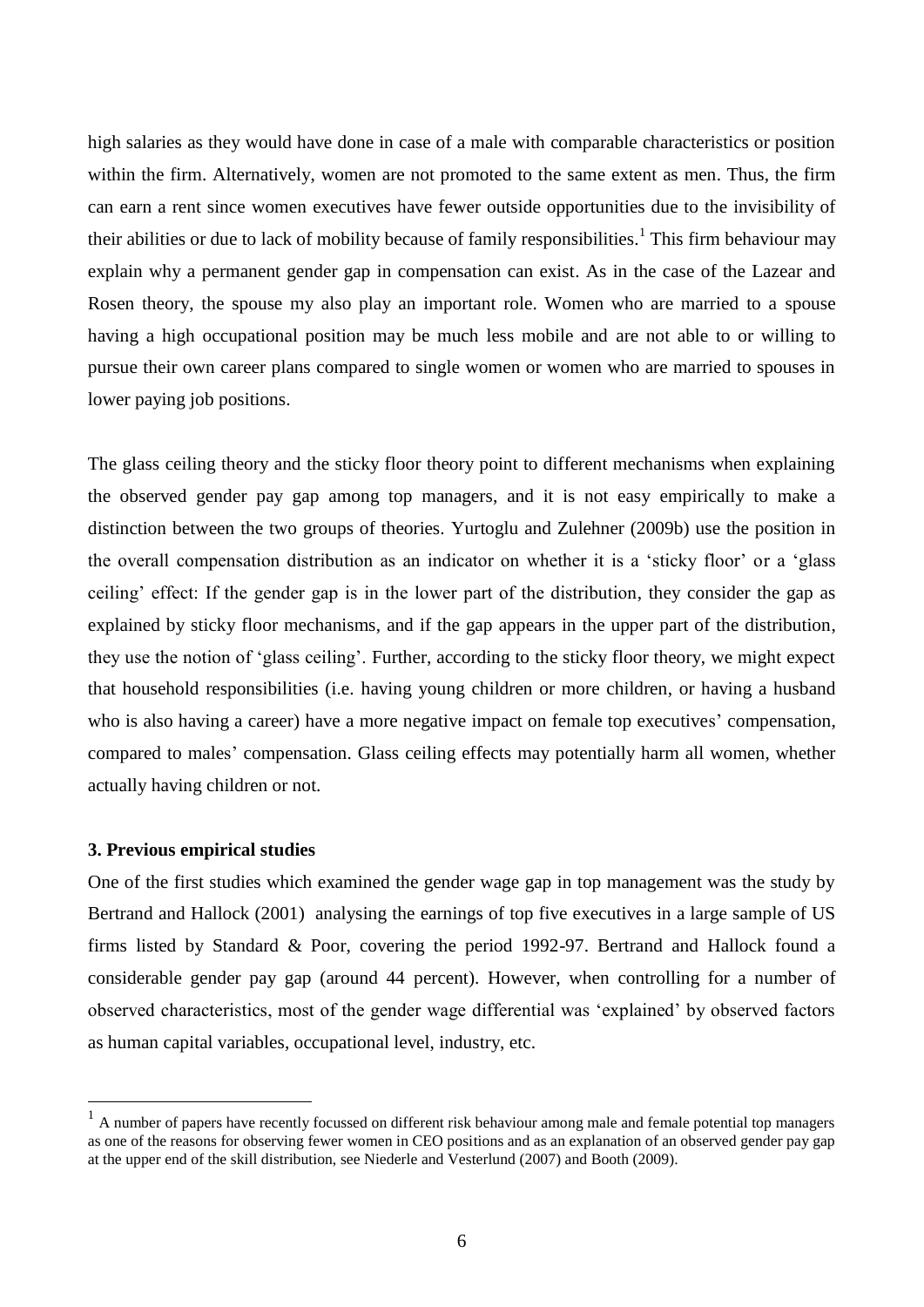high salaries as they would have done in case of a male with comparable characteristics or position within the firm. Alternatively, women are not promoted to the same extent as men. Thus, the firm can earn a rent since women executives have fewer outside opportunities due to the invisibility of their abilities or due to lack of mobility because of family responsibilities.<sup>1</sup> This firm behaviour may explain why a permanent gender gap in compensation can exist. As in the case of the Lazear and Rosen theory, the spouse my also play an important role. Women who are married to a spouse having a high occupational position may be much less mobile and are not able to or willing to pursue their own career plans compared to single women or women who are married to spouses in lower paying job positions.

The glass ceiling theory and the sticky floor theory point to different mechanisms when explaining the observed gender pay gap among top managers, and it is not easy empirically to make a distinction between the two groups of theories. Yurtoglu and Zulehner (2009b) use the position in the overall compensation distribution as an indicator on whether it is a 'sticky floor' or a 'glass ceiling' effect: If the gender gap is in the lower part of the distribution, they consider the gap as explained by sticky floor mechanisms, and if the gap appears in the upper part of the distribution, they use the notion of ‗glass ceiling'. Further, according to the sticky floor theory, we might expect that household responsibilities (i.e. having young children or more children, or having a husband who is also having a career) have a more negative impact on female top executives' compensation, compared to males' compensation. Glass ceiling effects may potentially harm all women, whether actually having children or not.

#### **3. Previous empirical studies**

One of the first studies which examined the gender wage gap in top management was the study by Bertrand and Hallock (2001) analysing the earnings of top five executives in a large sample of US firms listed by Standard & Poor, covering the period 1992-97. Bertrand and Hallock found a considerable gender pay gap (around 44 percent). However, when controlling for a number of observed characteristics, most of the gender wage differential was ‗explained' by observed factors as human capital variables, occupational level, industry, etc.

<sup>&</sup>lt;sup>1</sup> A number of papers have recently focussed on different risk behaviour among male and female potential top managers as one of the reasons for observing fewer women in CEO positions and as an explanation of an observed gender pay gap at the upper end of the skill distribution, see Niederle and Vesterlund (2007) and Booth (2009).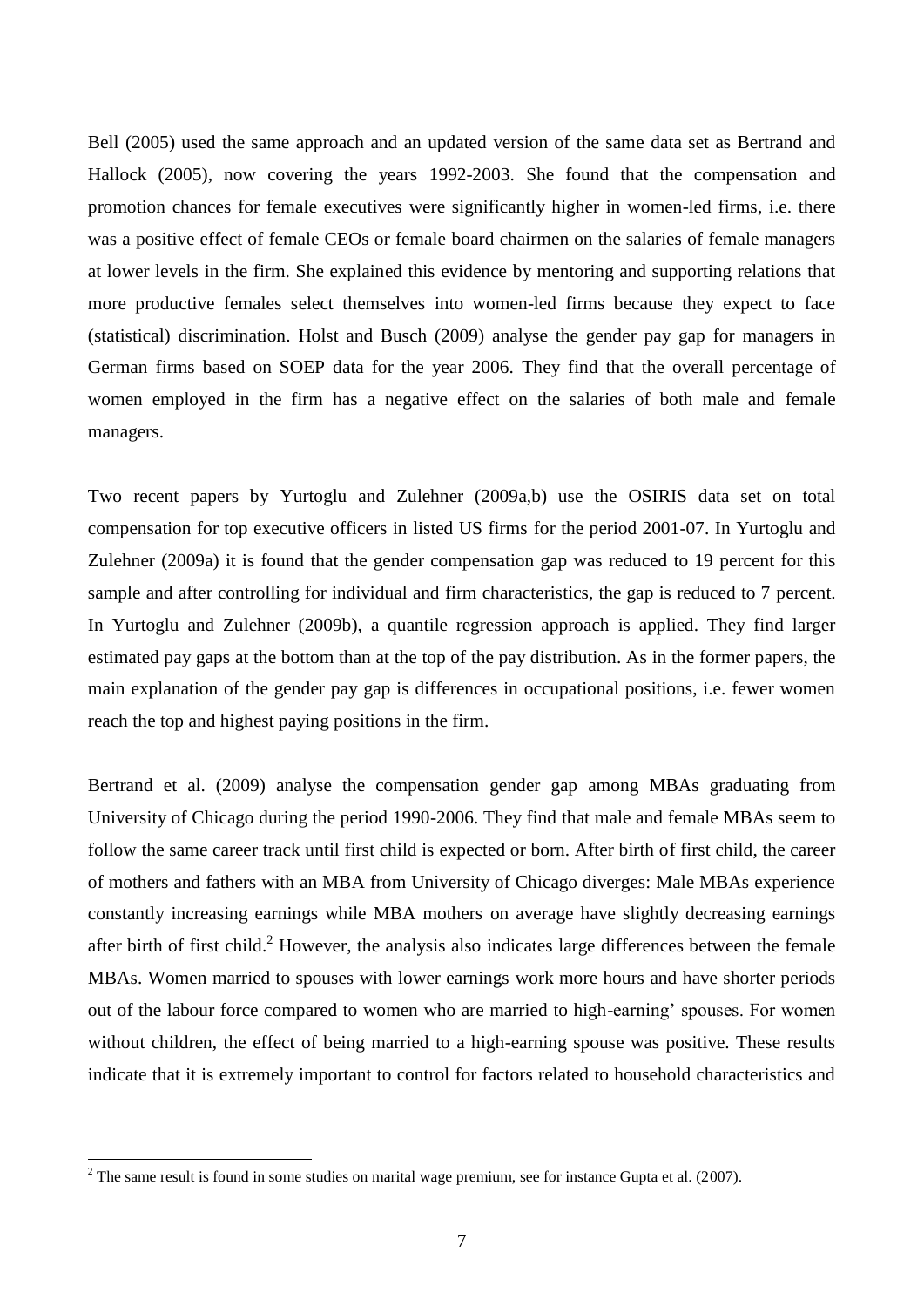Bell (2005) used the same approach and an updated version of the same data set as Bertrand and Hallock (2005), now covering the years 1992-2003. She found that the compensation and promotion chances for female executives were significantly higher in women-led firms, i.e. there was a positive effect of female CEOs or female board chairmen on the salaries of female managers at lower levels in the firm. She explained this evidence by mentoring and supporting relations that more productive females select themselves into women-led firms because they expect to face (statistical) discrimination. Holst and Busch (2009) analyse the gender pay gap for managers in German firms based on SOEP data for the year 2006. They find that the overall percentage of women employed in the firm has a negative effect on the salaries of both male and female managers.

Two recent papers by Yurtoglu and Zulehner (2009a,b) use the OSIRIS data set on total compensation for top executive officers in listed US firms for the period 2001-07. In Yurtoglu and Zulehner (2009a) it is found that the gender compensation gap was reduced to 19 percent for this sample and after controlling for individual and firm characteristics, the gap is reduced to 7 percent. In Yurtoglu and Zulehner (2009b), a quantile regression approach is applied. They find larger estimated pay gaps at the bottom than at the top of the pay distribution. As in the former papers, the main explanation of the gender pay gap is differences in occupational positions, i.e. fewer women reach the top and highest paying positions in the firm.

Bertrand et al. (2009) analyse the compensation gender gap among MBAs graduating from University of Chicago during the period 1990-2006. They find that male and female MBAs seem to follow the same career track until first child is expected or born. After birth of first child, the career of mothers and fathers with an MBA from University of Chicago diverges: Male MBAs experience constantly increasing earnings while MBA mothers on average have slightly decreasing earnings after birth of first child.<sup>2</sup> However, the analysis also indicates large differences between the female MBAs. Women married to spouses with lower earnings work more hours and have shorter periods out of the labour force compared to women who are married to high-earning' spouses. For women without children, the effect of being married to a high-earning spouse was positive. These results indicate that it is extremely important to control for factors related to household characteristics and

1

<sup>&</sup>lt;sup>2</sup> The same result is found in some studies on marital wage premium, see for instance Gupta et al. (2007).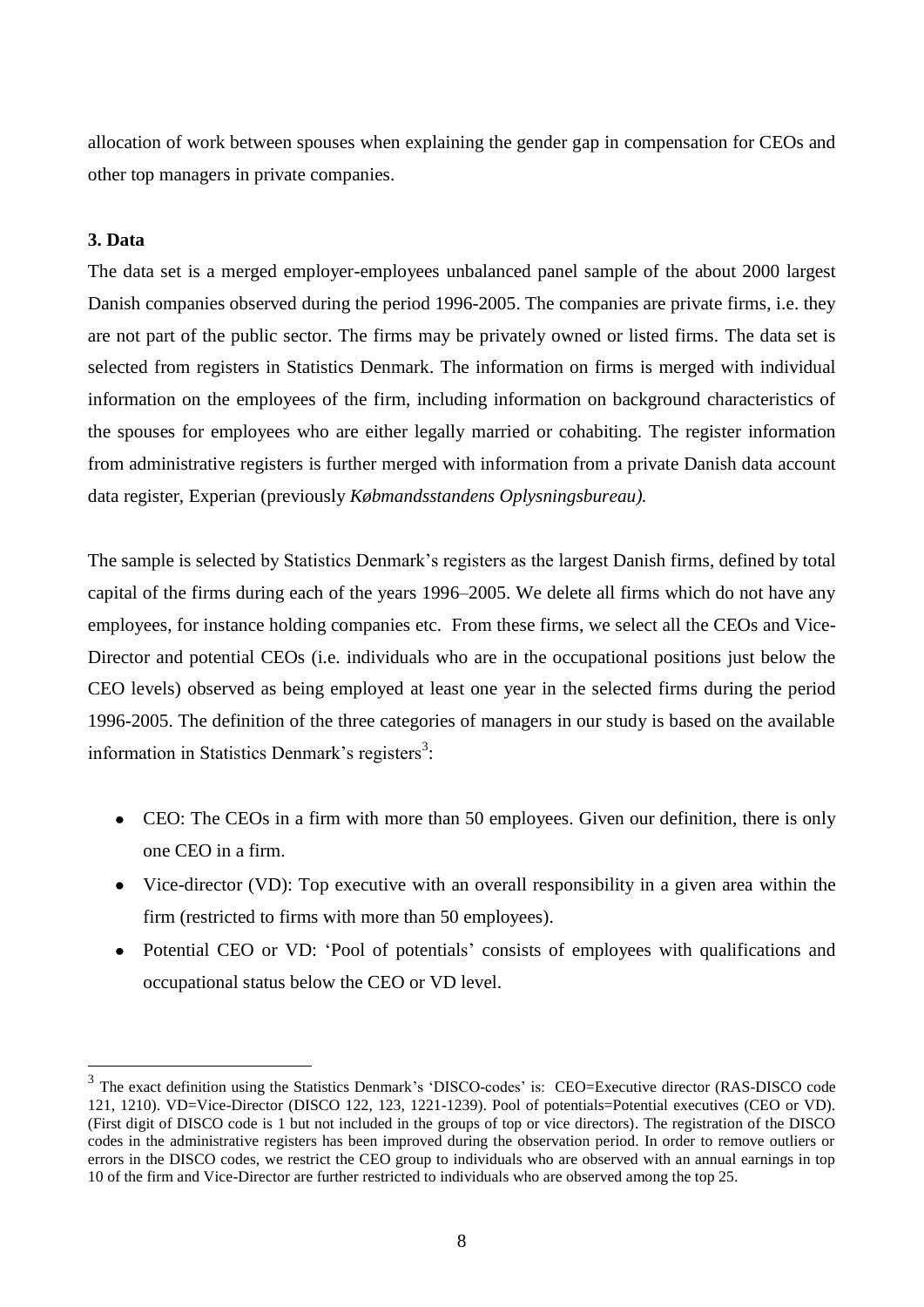allocation of work between spouses when explaining the gender gap in compensation for CEOs and other top managers in private companies.

#### **3. Data**

The data set is a merged employer-employees unbalanced panel sample of the about 2000 largest Danish companies observed during the period 1996-2005. The companies are private firms, i.e. they are not part of the public sector. The firms may be privately owned or listed firms. The data set is selected from registers in Statistics Denmark. The information on firms is merged with individual information on the employees of the firm, including information on background characteristics of the spouses for employees who are either legally married or cohabiting. The register information from administrative registers is further merged with information from a private Danish data account data register, Experian (previously *Købmandsstandens Oplysningsbureau).* 

The sample is selected by Statistics Denmark's registers as the largest Danish firms, defined by total capital of the firms during each of the years 1996–2005. We delete all firms which do not have any employees, for instance holding companies etc. From these firms, we select all the CEOs and Vice-Director and potential CEOs (i.e. individuals who are in the occupational positions just below the CEO levels) observed as being employed at least one year in the selected firms during the period 1996-2005. The definition of the three categories of managers in our study is based on the available information in Statistics Denmark's registers $3$ :

- CEO: The CEOs in a firm with more than 50 employees. Given our definition, there is only one CEO in a firm.
- Vice-director (VD): Top executive with an overall responsibility in a given area within the firm (restricted to firms with more than 50 employees).
- Potential CEO or VD: 'Pool of potentials' consists of employees with qualifications and  $\bullet$ occupational status below the CEO or VD level.

<sup>&</sup>lt;sup>3</sup><br><sup>3</sup> The exact definition using the Statistics Denmark's 'DISCO-codes' is: CEO=Executive director (RAS-DISCO code 121, 1210). VD=Vice-Director (DISCO 122, 123, 1221-1239). Pool of potentials=Potential executives (CEO or VD). (First digit of DISCO code is 1 but not included in the groups of top or vice directors). The registration of the DISCO codes in the administrative registers has been improved during the observation period. In order to remove outliers or errors in the DISCO codes, we restrict the CEO group to individuals who are observed with an annual earnings in top 10 of the firm and Vice-Director are further restricted to individuals who are observed among the top 25.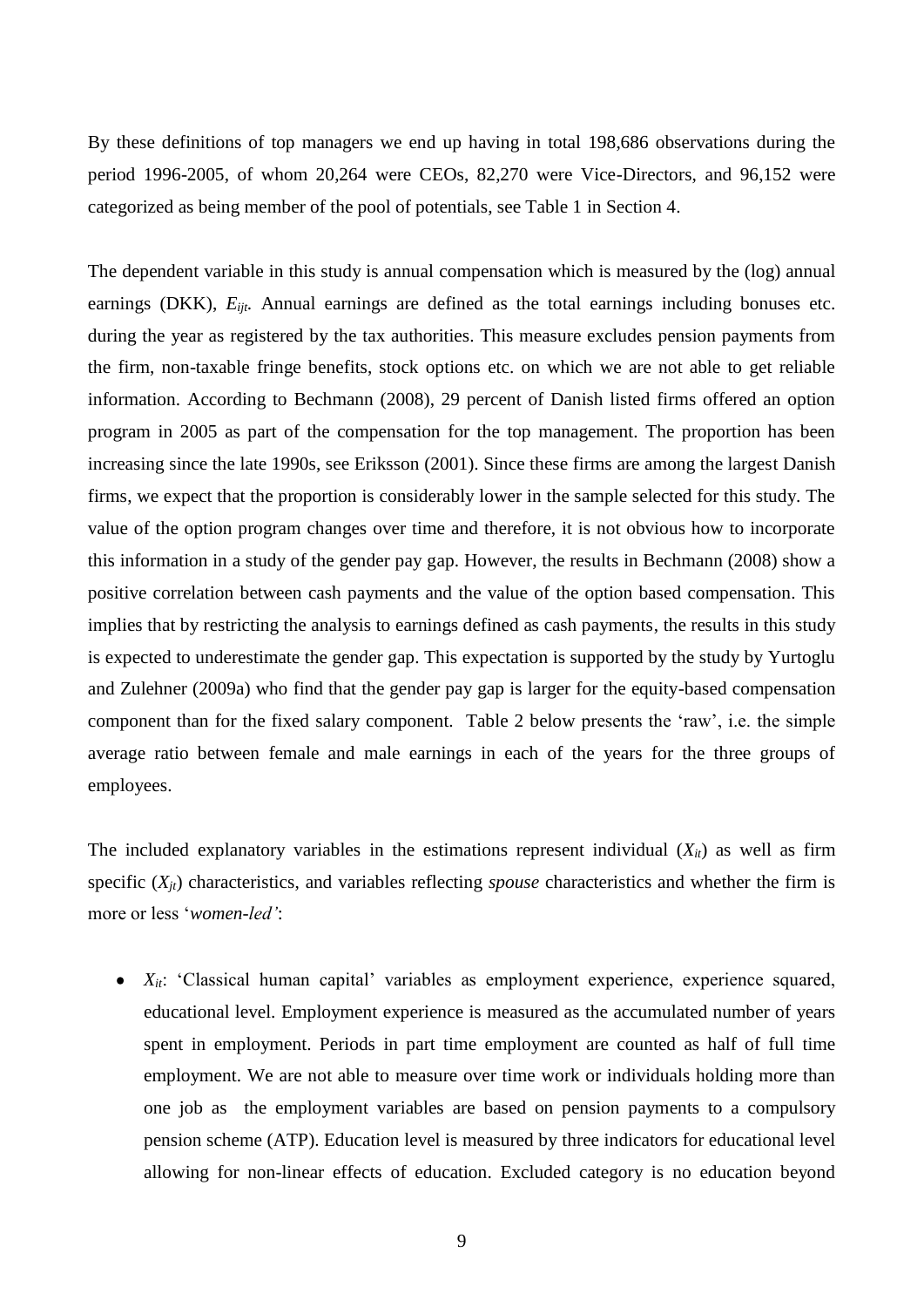By these definitions of top managers we end up having in total 198,686 observations during the period 1996-2005, of whom 20,264 were CEOs, 82,270 were Vice-Directors, and 96,152 were categorized as being member of the pool of potentials, see Table 1 in Section 4.

The dependent variable in this study is annual compensation which is measured by the (log) annual earnings (DKK),  $E_{ii}$ . Annual earnings are defined as the total earnings including bonuses etc. during the year as registered by the tax authorities. This measure excludes pension payments from the firm, non-taxable fringe benefits, stock options etc. on which we are not able to get reliable information. According to Bechmann (2008), 29 percent of Danish listed firms offered an option program in 2005 as part of the compensation for the top management. The proportion has been increasing since the late 1990s, see Eriksson (2001). Since these firms are among the largest Danish firms, we expect that the proportion is considerably lower in the sample selected for this study. The value of the option program changes over time and therefore, it is not obvious how to incorporate this information in a study of the gender pay gap. However, the results in Bechmann (2008) show a positive correlation between cash payments and the value of the option based compensation. This implies that by restricting the analysis to earnings defined as cash payments, the results in this study is expected to underestimate the gender gap. This expectation is supported by the study by Yurtoglu and Zulehner (2009a) who find that the gender pay gap is larger for the equity-based compensation component than for the fixed salary component. Table 2 below presents the 'raw', i.e. the simple average ratio between female and male earnings in each of the years for the three groups of employees.

The included explanatory variables in the estimations represent individual  $(X_{it})$  as well as firm specific  $(X_{it})$  characteristics, and variables reflecting *spouse* characteristics and whether the firm is more or less ‗*women-led'*:

 $X_{it}$ : Classical human capital' variables as employment experience, experience squared,  $\bullet$ educational level. Employment experience is measured as the accumulated number of years spent in employment. Periods in part time employment are counted as half of full time employment. We are not able to measure over time work or individuals holding more than one job as the employment variables are based on pension payments to a compulsory pension scheme (ATP). Education level is measured by three indicators for educational level allowing for non-linear effects of education. Excluded category is no education beyond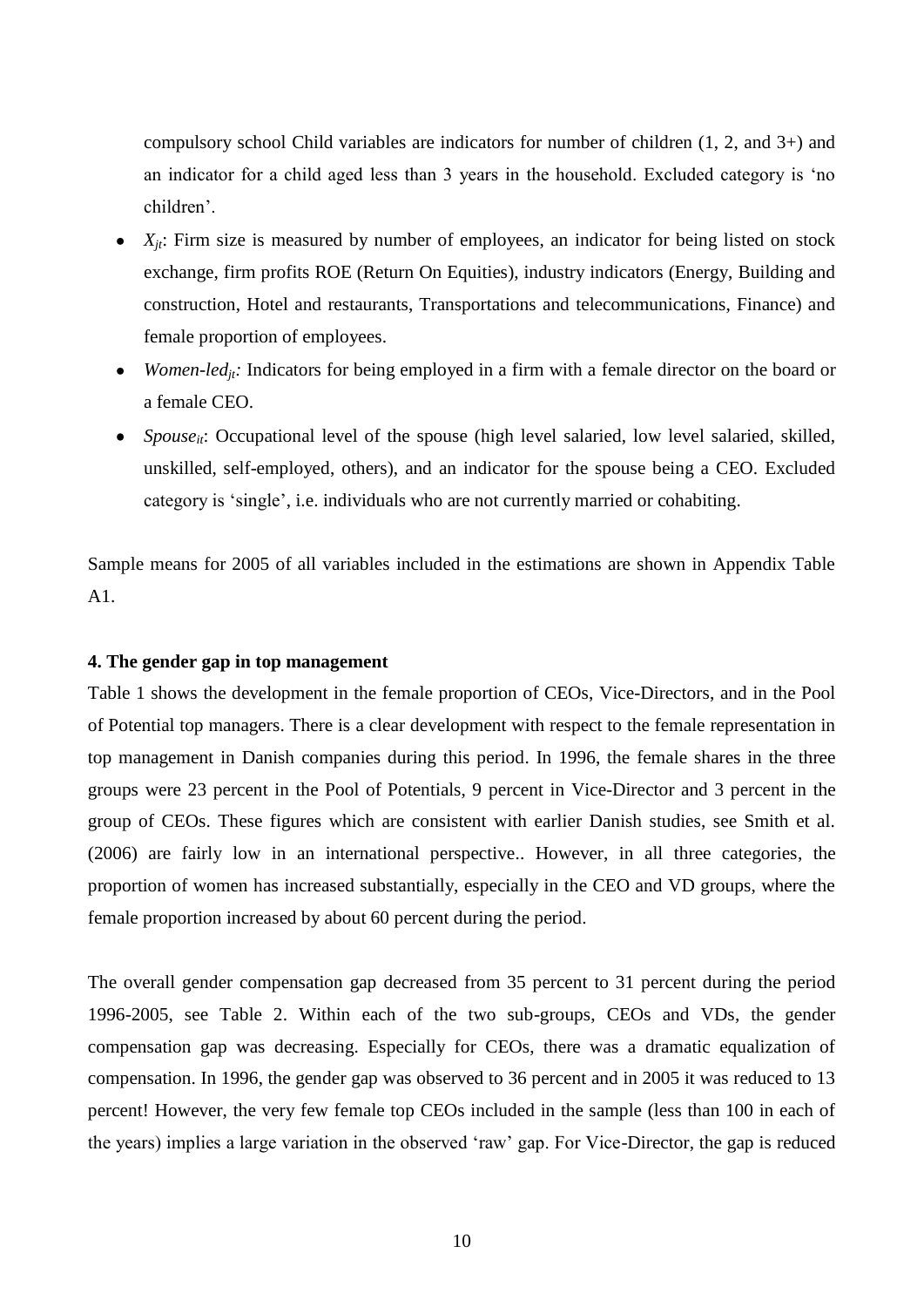compulsory school Child variables are indicators for number of children (1, 2, and 3+) and an indicator for a child aged less than 3 years in the household. Excluded category is 'no children'.

- $X_{it}$ : Firm size is measured by number of employees, an indicator for being listed on stock exchange, firm profits ROE (Return On Equities), industry indicators (Energy, Building and construction, Hotel and restaurants, Transportations and telecommunications, Finance) and female proportion of employees.
- *Women-led<sub>it</sub>*: Indicators for being employed in a firm with a female director on the board or a female CEO.
- *Spouse<sub>it</sub>*: Occupational level of the spouse (high level salaried, low level salaried, skilled, unskilled, self-employed, others), and an indicator for the spouse being a CEO. Excluded category is 'single', i.e. individuals who are not currently married or cohabiting.

Sample means for 2005 of all variables included in the estimations are shown in Appendix Table A1.

#### **4. The gender gap in top management**

Table 1 shows the development in the female proportion of CEOs, Vice-Directors, and in the Pool of Potential top managers. There is a clear development with respect to the female representation in top management in Danish companies during this period. In 1996, the female shares in the three groups were 23 percent in the Pool of Potentials, 9 percent in Vice-Director and 3 percent in the group of CEOs. These figures which are consistent with earlier Danish studies, see Smith et al. (2006) are fairly low in an international perspective.. However, in all three categories, the proportion of women has increased substantially, especially in the CEO and VD groups, where the female proportion increased by about 60 percent during the period.

The overall gender compensation gap decreased from 35 percent to 31 percent during the period 1996-2005, see Table 2. Within each of the two sub-groups, CEOs and VDs, the gender compensation gap was decreasing. Especially for CEOs, there was a dramatic equalization of compensation. In 1996, the gender gap was observed to 36 percent and in 2005 it was reduced to 13 percent! However, the very few female top CEOs included in the sample (less than 100 in each of the years) implies a large variation in the observed 'raw' gap. For Vice-Director, the gap is reduced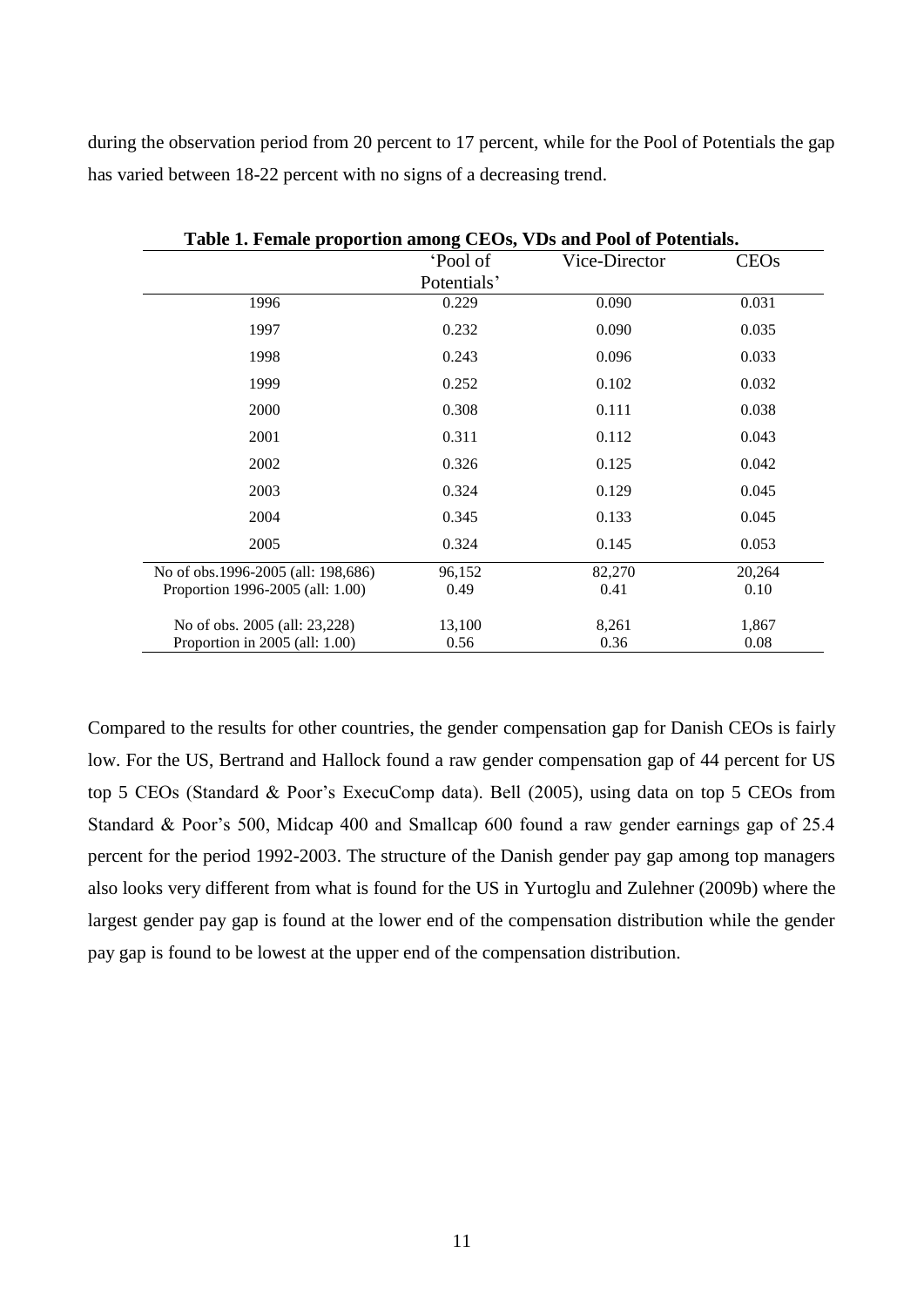during the observation period from 20 percent to 17 percent, while for the Pool of Potentials the gap has varied between 18-22 percent with no signs of a decreasing trend.

| Table 1. Female proportion among CEOs, VDs and Pool of Potentials. |             |               |             |  |  |  |  |  |
|--------------------------------------------------------------------|-------------|---------------|-------------|--|--|--|--|--|
|                                                                    | 'Pool of    | Vice-Director | <b>CEOs</b> |  |  |  |  |  |
|                                                                    | Potentials' |               |             |  |  |  |  |  |
| 1996                                                               | 0.229       | 0.090         | 0.031       |  |  |  |  |  |
| 1997                                                               | 0.232       | 0.090         | 0.035       |  |  |  |  |  |
| 1998                                                               | 0.243       | 0.096         | 0.033       |  |  |  |  |  |
| 1999                                                               | 0.252       | 0.102         | 0.032       |  |  |  |  |  |
| 2000                                                               | 0.308       | 0.111         | 0.038       |  |  |  |  |  |
| 2001                                                               | 0.311       | 0.112         | 0.043       |  |  |  |  |  |
| 2002                                                               | 0.326       | 0.125         | 0.042       |  |  |  |  |  |
| 2003                                                               | 0.324       | 0.129         | 0.045       |  |  |  |  |  |
| 2004                                                               | 0.345       | 0.133         | 0.045       |  |  |  |  |  |
| 2005                                                               | 0.324       | 0.145         | 0.053       |  |  |  |  |  |
| No of obs.1996-2005 (all: 198,686)                                 | 96,152      | 82,270        | 20,264      |  |  |  |  |  |
| Proportion 1996-2005 (all: 1.00)                                   | 0.49        | 0.41          | 0.10        |  |  |  |  |  |
| No of obs. 2005 (all: 23,228)                                      | 13,100      | 8,261         | 1,867       |  |  |  |  |  |
| Proportion in 2005 (all: 1.00)                                     | 0.56        | 0.36          | 0.08        |  |  |  |  |  |

Compared to the results for other countries, the gender compensation gap for Danish CEOs is fairly low. For the US, Bertrand and Hallock found a raw gender compensation gap of 44 percent for US top 5 CEOs (Standard & Poor's ExecuComp data). Bell (2005), using data on top 5 CEOs from Standard & Poor's 500, Midcap 400 and Smallcap 600 found a raw gender earnings gap of 25.4 percent for the period 1992-2003. The structure of the Danish gender pay gap among top managers also looks very different from what is found for the US in Yurtoglu and Zulehner (2009b) where the largest gender pay gap is found at the lower end of the compensation distribution while the gender pay gap is found to be lowest at the upper end of the compensation distribution.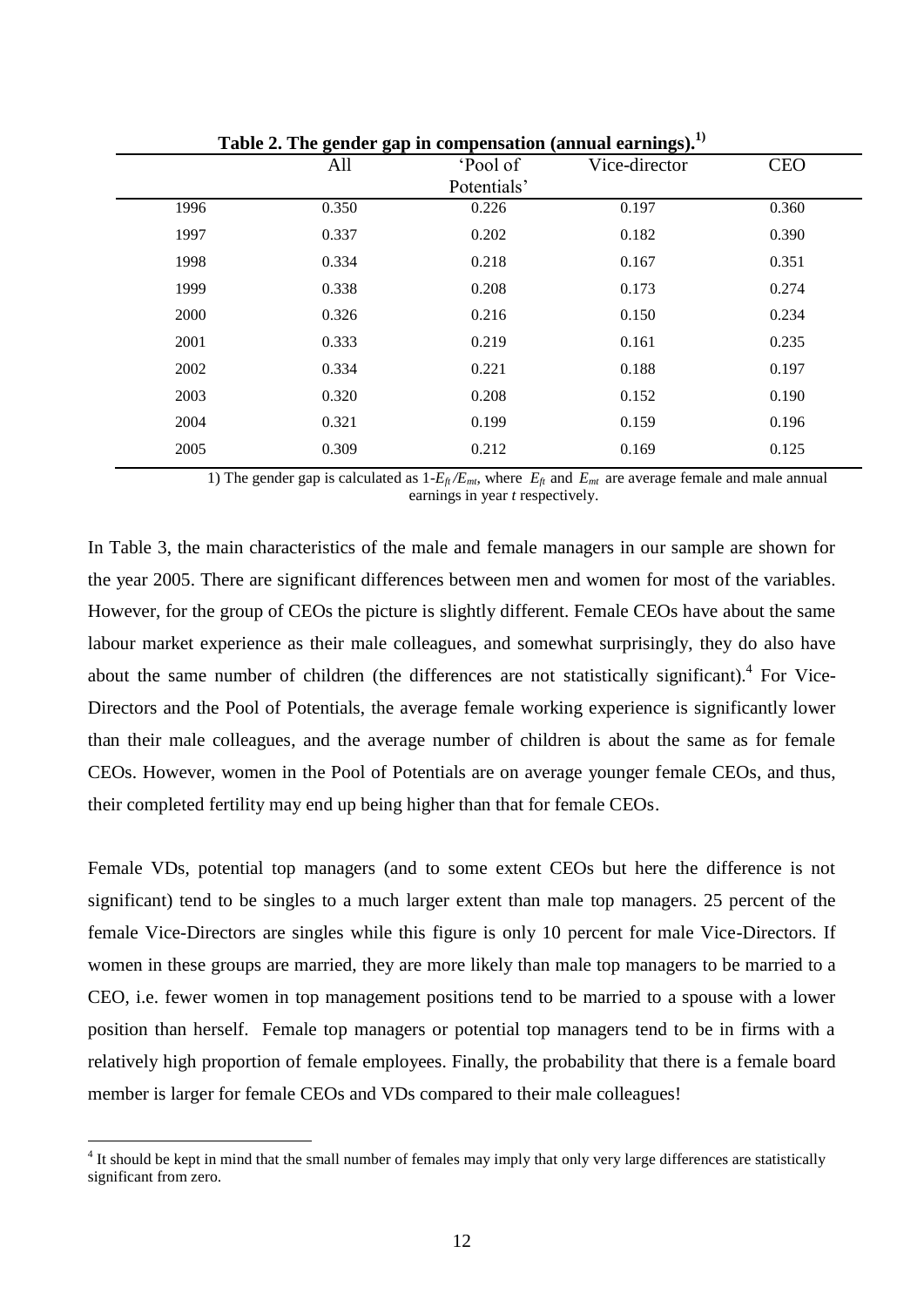| rable 2. The genuer gap in compensation (annual earnings). |       |             |               |            |  |  |  |  |  |
|------------------------------------------------------------|-------|-------------|---------------|------------|--|--|--|--|--|
|                                                            | All   | 'Pool of    | Vice-director | <b>CEO</b> |  |  |  |  |  |
|                                                            |       | Potentials' |               |            |  |  |  |  |  |
| 1996                                                       | 0.350 | 0.226       | 0.197         | 0.360      |  |  |  |  |  |
| 1997                                                       | 0.337 | 0.202       | 0.182         | 0.390      |  |  |  |  |  |
| 1998                                                       | 0.334 | 0.218       | 0.167         | 0.351      |  |  |  |  |  |
| 1999                                                       | 0.338 | 0.208       | 0.173         | 0.274      |  |  |  |  |  |
| 2000                                                       | 0.326 | 0.216       | 0.150         | 0.234      |  |  |  |  |  |
| 2001                                                       | 0.333 | 0.219       | 0.161         | 0.235      |  |  |  |  |  |
| 2002                                                       | 0.334 | 0.221       | 0.188         | 0.197      |  |  |  |  |  |
| 2003                                                       | 0.320 | 0.208       | 0.152         | 0.190      |  |  |  |  |  |
| 2004                                                       | 0.321 | 0.199       | 0.159         | 0.196      |  |  |  |  |  |
| 2005                                                       | 0.309 | 0.212       | 0.169         | 0.125      |  |  |  |  |  |
|                                                            |       |             |               |            |  |  |  |  |  |

**Table 2. The gender gap in compensation (annual earnings). 1)**

1) The gender gap is calculated as  $1-E_f/E_{mt}$ , where  $E_f$  and  $E_{mt}$  are average female and male annual earnings in year *t* respectively.

In Table 3, the main characteristics of the male and female managers in our sample are shown for the year 2005. There are significant differences between men and women for most of the variables. However, for the group of CEOs the picture is slightly different. Female CEOs have about the same labour market experience as their male colleagues, and somewhat surprisingly, they do also have about the same number of children (the differences are not statistically significant).<sup>4</sup> For Vice-Directors and the Pool of Potentials, the average female working experience is significantly lower than their male colleagues, and the average number of children is about the same as for female CEOs. However, women in the Pool of Potentials are on average younger female CEOs, and thus, their completed fertility may end up being higher than that for female CEOs.

Female VDs, potential top managers (and to some extent CEOs but here the difference is not significant) tend to be singles to a much larger extent than male top managers. 25 percent of the female Vice-Directors are singles while this figure is only 10 percent for male Vice-Directors. If women in these groups are married, they are more likely than male top managers to be married to a CEO, i.e. fewer women in top management positions tend to be married to a spouse with a lower position than herself. Female top managers or potential top managers tend to be in firms with a relatively high proportion of female employees. Finally, the probability that there is a female board member is larger for female CEOs and VDs compared to their male colleagues!

1

 $4$  It should be kept in mind that the small number of females may imply that only very large differences are statistically significant from zero.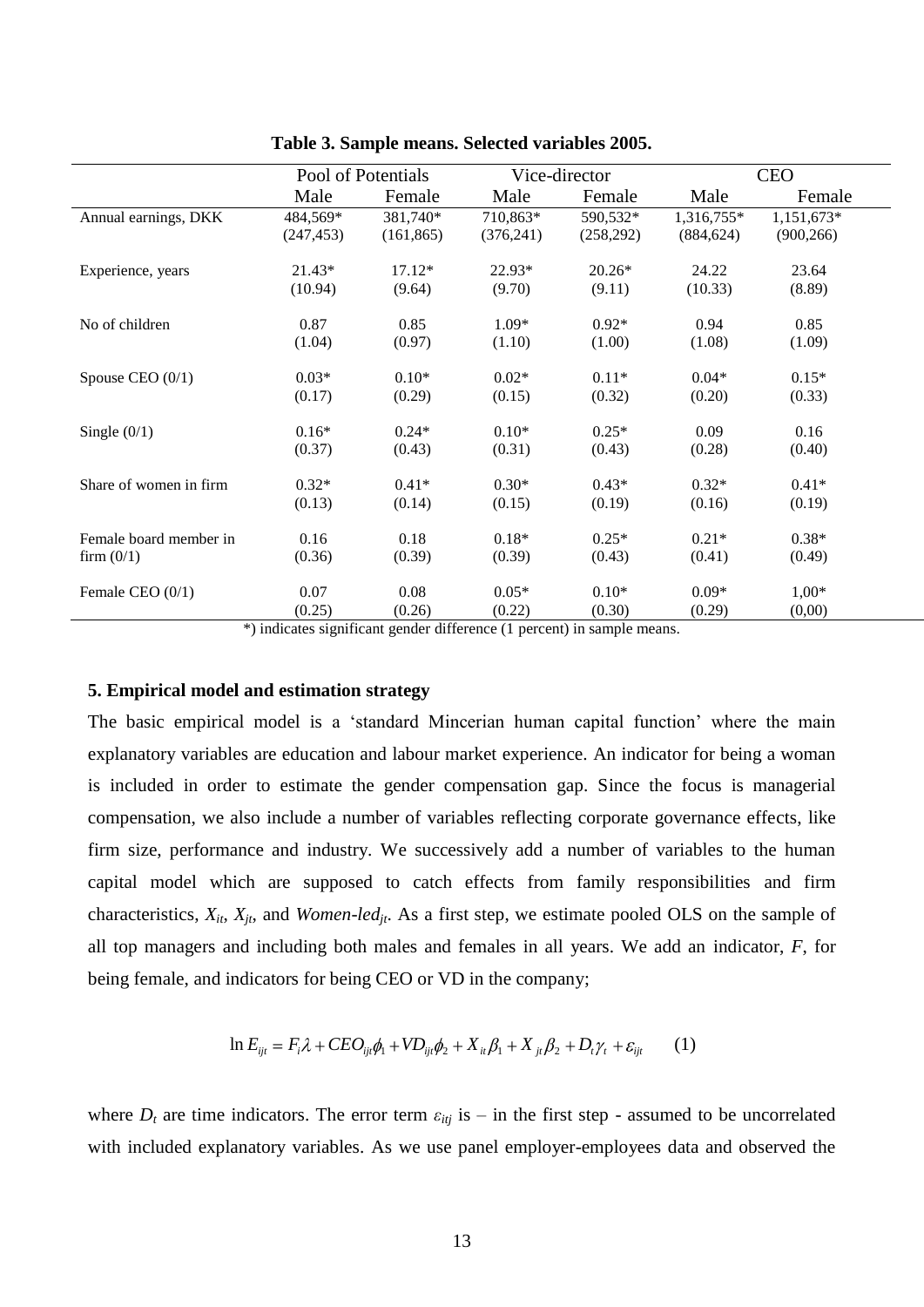|                        | Pool of Potentials |            |            | Vice-director |            | <b>CEO</b> |
|------------------------|--------------------|------------|------------|---------------|------------|------------|
|                        | Male               | Female     | Male       | Female        | Male       | Female     |
| Annual earnings, DKK   | 484,569*           | 381,740*   | 710,863*   | 590,532*      | 1,316,755* | 1,151,673* |
|                        | (247, 453)         | (161, 865) | (376, 241) | (258, 292)    | (884, 624) | (900, 266) |
| Experience, years      | 21.43*             | $17.12*$   | 22.93*     | $20.26*$      | 24.22      | 23.64      |
|                        | (10.94)            | (9.64)     | (9.70)     | (9.11)        | (10.33)    | (8.89)     |
| No of children         | 0.87               | 0.85       | $1.09*$    | $0.92*$       | 0.94       | 0.85       |
|                        | (1.04)             | (0.97)     | (1.10)     | (1.00)        | (1.08)     | (1.09)     |
| Spouse CEO $(0/1)$     | $0.03*$            | $0.10*$    | $0.02*$    | $0.11*$       | $0.04*$    | $0.15*$    |
|                        | (0.17)             | (0.29)     | (0.15)     | (0.32)        | (0.20)     | (0.33)     |
| Single $(0/1)$         | $0.16*$            | $0.24*$    | $0.10*$    | $0.25*$       | 0.09       | 0.16       |
|                        | (0.37)             | (0.43)     | (0.31)     | (0.43)        | (0.28)     | (0.40)     |
| Share of women in firm | $0.32*$            | $0.41*$    | $0.30*$    | $0.43*$       | $0.32*$    | $0.41*$    |
|                        | (0.13)             | (0.14)     | (0.15)     | (0.19)        | (0.16)     | (0.19)     |
| Female board member in | 0.16               | 0.18       | $0.18*$    | $0.25*$       | $0.21*$    | $0.38*$    |
| $\lim (0/1)$           | (0.36)             | (0.39)     | (0.39)     | (0.43)        | (0.41)     | (0.49)     |
| Female CEO $(0/1)$     | 0.07               | 0.08       | $0.05*$    | $0.10*$       | $0.09*$    | $1,00*$    |
|                        | (0.25)             | (0.26)     | (0.22)     | (0.30)        | (0.29)     | (0,00)     |

**Table 3. Sample means. Selected variables 2005.**

\*) indicates significant gender difference (1 percent) in sample means.

#### **5. Empirical model and estimation strategy**

The basic empirical model is a 'standard Mincerian human capital function' where the main explanatory variables are education and labour market experience. An indicator for being a woman is included in order to estimate the gender compensation gap. Since the focus is managerial compensation, we also include a number of variables reflecting corporate governance effects, like firm size, performance and industry. We successively add a number of variables to the human capital model which are supposed to catch effects from family responsibilities and firm characteristics, *Xit*, *Xjt*, and *Women*-*ledjt*. As a first step, we estimate pooled OLS on the sample of all top managers and including both males and females in all years. We add an indicator, *F*, for being female, and indicators for being CEO or VD in the company;

$$
\ln E_{ijt} = F_i \lambda + CEO_{ijt} \phi_1 + V D_{ijt} \phi_2 + X_{it} \beta_1 + X_{jt} \beta_2 + D_t \gamma_t + \varepsilon_{ijt} \tag{1}
$$

where  $D_t$  are time indicators. The error term  $\varepsilon_{tij}$  is – in the first step - assumed to be uncorrelated with included explanatory variables. As we use panel employer-employees data and observed the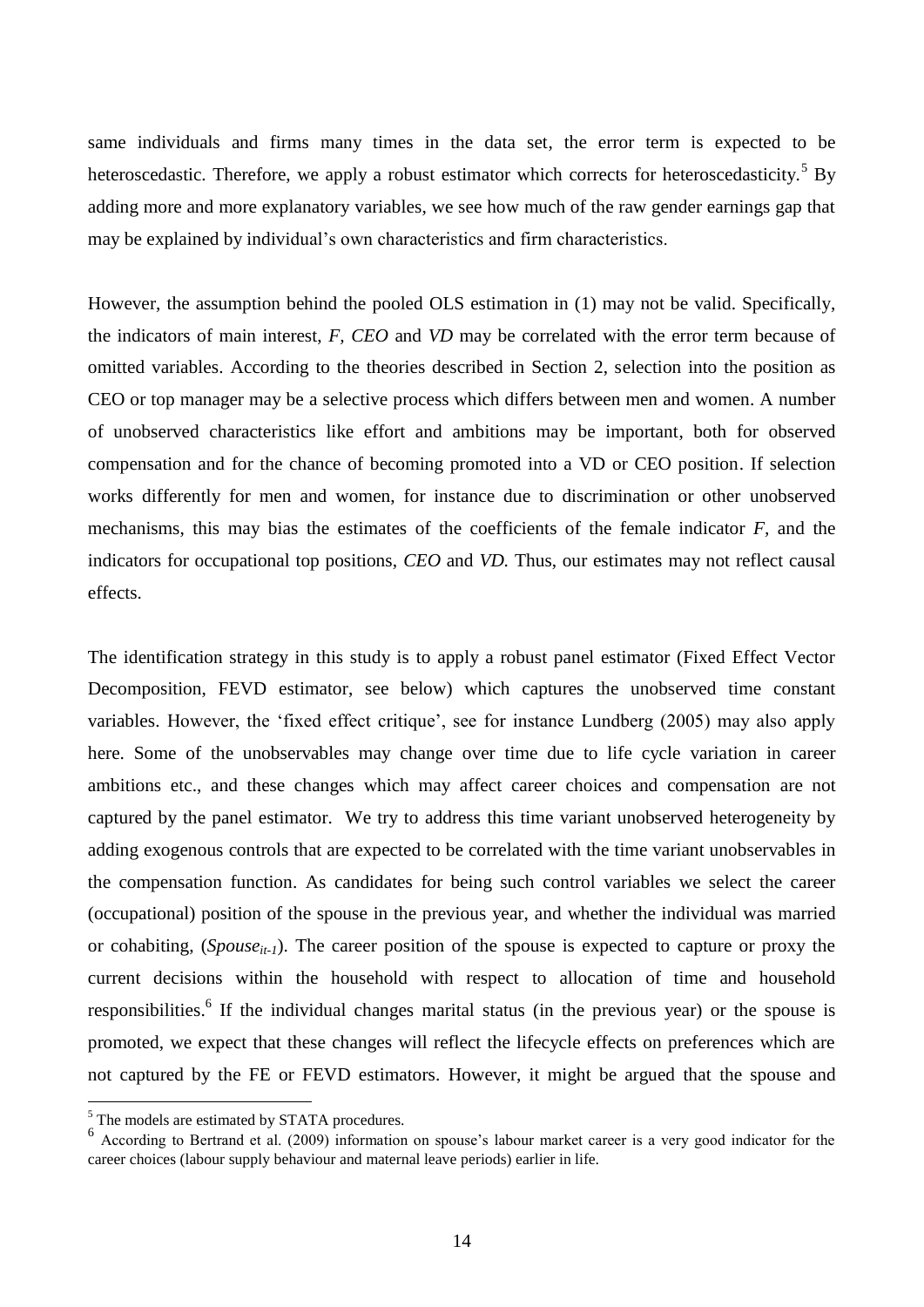same individuals and firms many times in the data set, the error term is expected to be heteroscedastic. Therefore, we apply a robust estimator which corrects for heteroscedasticity.<sup>5</sup> By adding more and more explanatory variables, we see how much of the raw gender earnings gap that may be explained by individual's own characteristics and firm characteristics.

However, the assumption behind the pooled OLS estimation in (1) may not be valid. Specifically, the indicators of main interest, *F, CEO* and *VD* may be correlated with the error term because of omitted variables. According to the theories described in Section 2, selection into the position as CEO or top manager may be a selective process which differs between men and women. A number of unobserved characteristics like effort and ambitions may be important, both for observed compensation and for the chance of becoming promoted into a VD or CEO position. If selection works differently for men and women, for instance due to discrimination or other unobserved mechanisms, this may bias the estimates of the coefficients of the female indicator *F,* and the indicators for occupational top positions, *CEO* and *VD.* Thus, our estimates may not reflect causal effects*.* 

The identification strategy in this study is to apply a robust panel estimator (Fixed Effect Vector Decomposition, FEVD estimator, see below) which captures the unobserved time constant variables. However, the 'fixed effect critique', see for instance Lundberg (2005) may also apply here. Some of the unobservables may change over time due to life cycle variation in career ambitions etc., and these changes which may affect career choices and compensation are not captured by the panel estimator. We try to address this time variant unobserved heterogeneity by adding exogenous controls that are expected to be correlated with the time variant unobservables in the compensation function. As candidates for being such control variables we select the career (occupational) position of the spouse in the previous year, and whether the individual was married or cohabiting, (*Spouseit-1*). The career position of the spouse is expected to capture or proxy the current decisions within the household with respect to allocation of time and household responsibilities.<sup>6</sup> If the individual changes marital status (in the previous year) or the spouse is promoted, we expect that these changes will reflect the lifecycle effects on preferences which are not captured by the FE or FEVD estimators. However, it might be argued that the spouse and

<u>.</u>

<sup>&</sup>lt;sup>5</sup> The models are estimated by STATA procedures.

<sup>6</sup> According to Bertrand et al. (2009) information on spouse's labour market career is a very good indicator for the career choices (labour supply behaviour and maternal leave periods) earlier in life.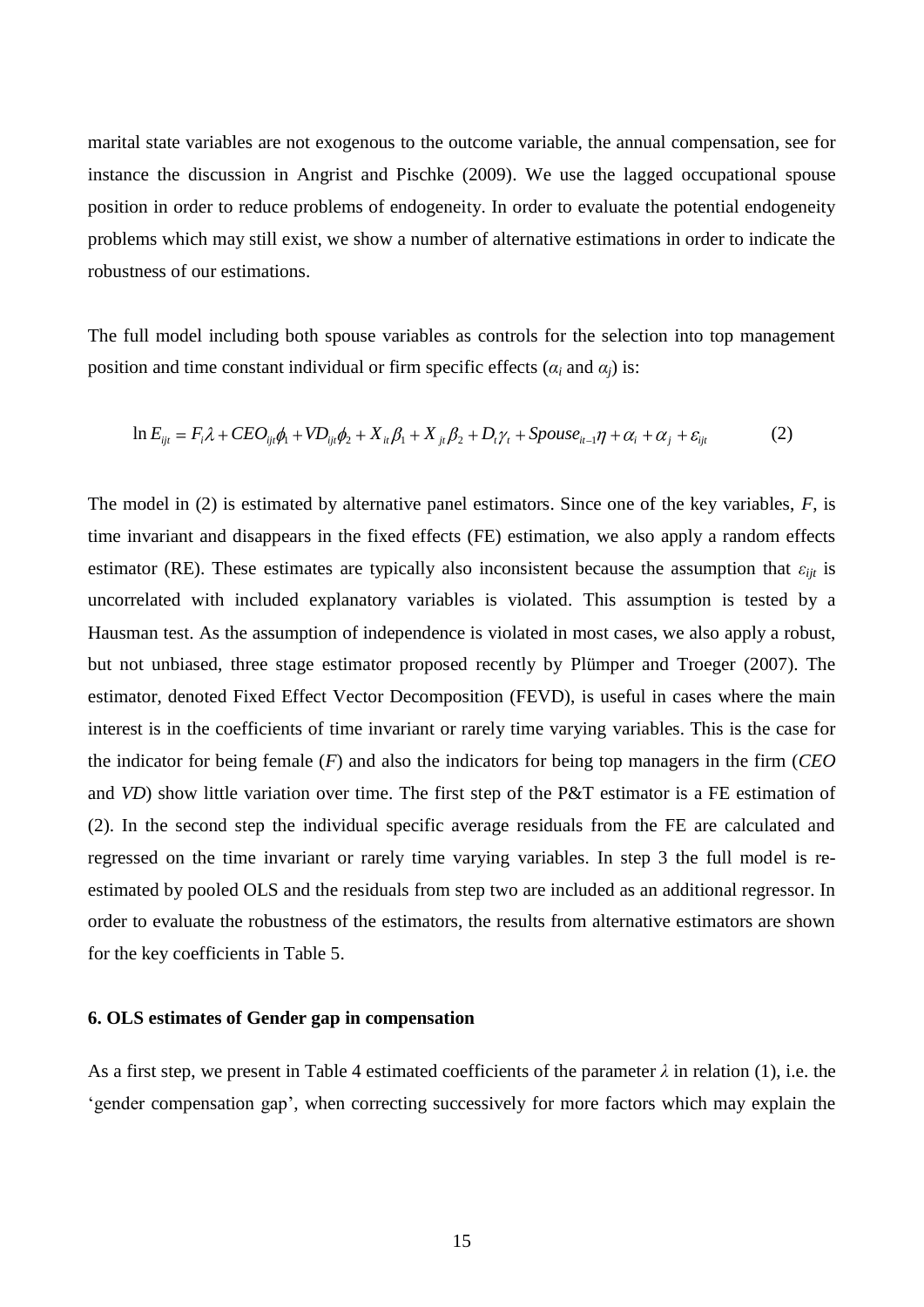marital state variables are not exogenous to the outcome variable, the annual compensation, see for instance the discussion in Angrist and Pischke (2009). We use the lagged occupational spouse position in order to reduce problems of endogeneity. In order to evaluate the potential endogeneity problems which may still exist, we show a number of alternative estimations in order to indicate the robustness of our estimations.

The full model including both spouse variables as controls for the selection into top management position and time constant individual or firm specific effects  $(a_i$  and  $a_j)$  is:<br>  $\ln E_{ijt} = F_i \lambda + CEO_{ijt} \phi_1 + VD_{ijt} \phi_2 + X_{it} \beta_1 + X_{jt} \beta_2 + D_t \gamma_t + Spouse_{it-1} \eta + \alpha_i + \alpha_j + \varepsilon_{ijt}$ 

$$
\ln E_{\hat{i}t} = F_i \lambda + CEO_{ii} \phi_1 + V D_{ii} \phi_2 + X_{it} \beta_1 + X_{it} \beta_2 + D_t \gamma_t + Spouse_{it-1} \eta + \alpha_i + \alpha_i + \varepsilon_{it}
$$
(2)

The model in (2) is estimated by alternative panel estimators. Since one of the key variables, *F*, is time invariant and disappears in the fixed effects (FE) estimation, we also apply a random effects estimator (RE). These estimates are typically also inconsistent because the assumption that  $\varepsilon_{ijt}$  is uncorrelated with included explanatory variables is violated. This assumption is tested by a Hausman test. As the assumption of independence is violated in most cases, we also apply a robust, but not unbiased, three stage estimator proposed recently by Plümper and Troeger (2007). The estimator, denoted Fixed Effect Vector Decomposition (FEVD), is useful in cases where the main interest is in the coefficients of time invariant or rarely time varying variables. This is the case for the indicator for being female (*F*) and also the indicators for being top managers in the firm (*CEO*  and *VD*) show little variation over time. The first step of the P&T estimator is a FE estimation of (2). In the second step the individual specific average residuals from the FE are calculated and regressed on the time invariant or rarely time varying variables. In step 3 the full model is reestimated by pooled OLS and the residuals from step two are included as an additional regressor. In order to evaluate the robustness of the estimators, the results from alternative estimators are shown for the key coefficients in Table 5.

#### **6. OLS estimates of Gender gap in compensation**

As a first step, we present in Table 4 estimated coefficients of the parameter  $\lambda$  in relation (1), i.e. the ‗gender compensation gap', when correcting successively for more factors which may explain the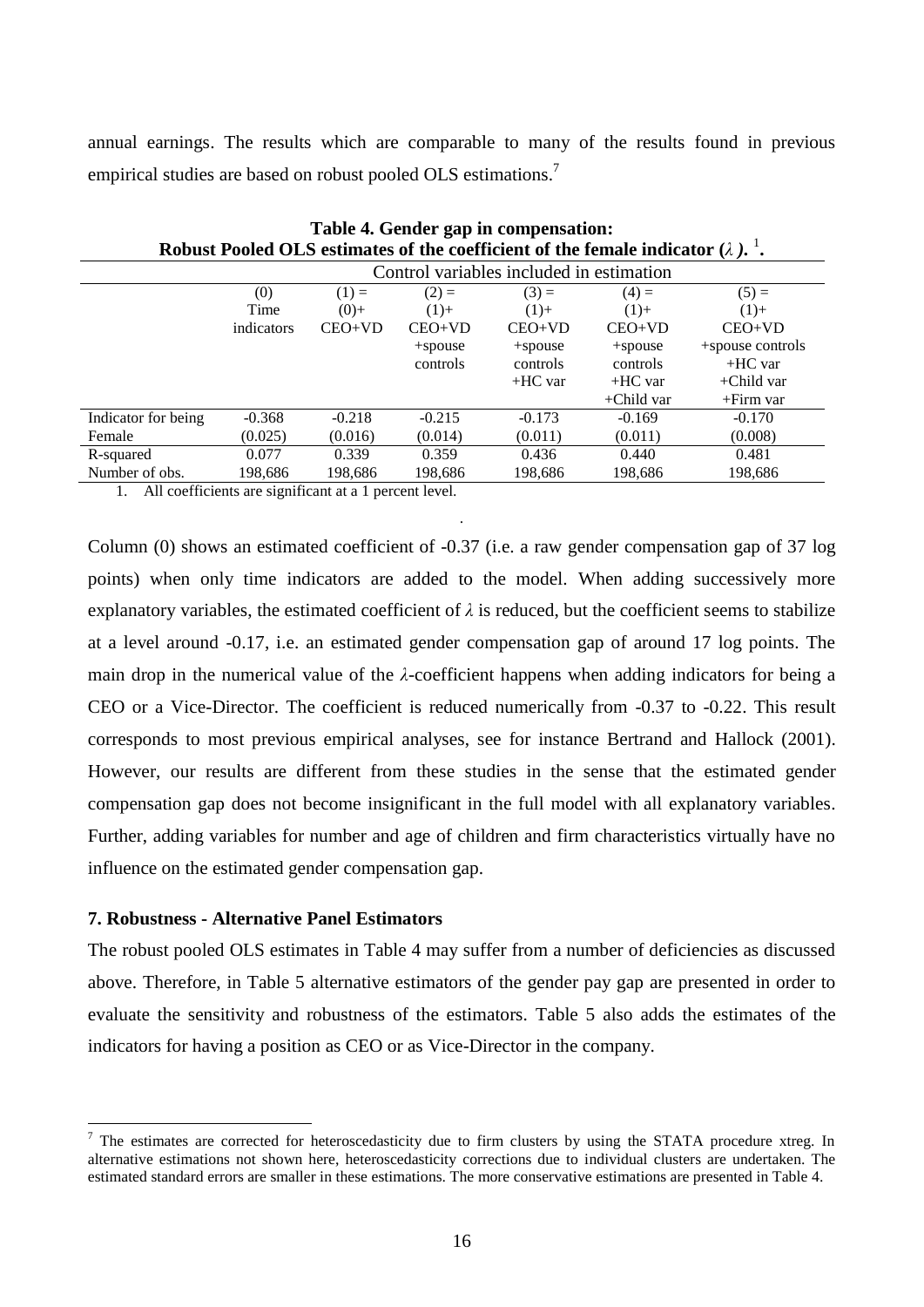annual earnings. The results which are comparable to many of the results found in previous empirical studies are based on robust pooled OLS estimations.<sup>7</sup>

| $=$ $\frac{1}{2}$ $\frac{1}{2}$ $\frac{1}{2}$ $\frac{1}{2}$ $\frac{1}{2}$ $\frac{1}{2}$ $\frac{1}{2}$ $\frac{1}{2}$ $\frac{1}{2}$ $\frac{1}{2}$ $\frac{1}{2}$ $\frac{1}{2}$ $\frac{1}{2}$ $\frac{1}{2}$ $\frac{1}{2}$ $\frac{1}{2}$ $\frac{1}{2}$ $\frac{1}{2}$ $\frac{1}{2}$ $\frac{1}{2}$ $\frac{1}{2}$ $\frac{1}{2$<br>Robust Pooled OLS estimates of the coefficient of the female indicator $(\lambda)$ . |                                          |          |          |           |               |                  |  |  |  |
|----------------------------------------------------------------------------------------------------------------------------------------------------------------------------------------------------------------------------------------------------------------------------------------------------------------------------------------------------------------------------------------------------------------|------------------------------------------|----------|----------|-----------|---------------|------------------|--|--|--|
|                                                                                                                                                                                                                                                                                                                                                                                                                | Control variables included in estimation |          |          |           |               |                  |  |  |  |
|                                                                                                                                                                                                                                                                                                                                                                                                                | (0)                                      | $(1) =$  | $(2) =$  | $(3) =$   | $(4) =$       | $(5) =$          |  |  |  |
|                                                                                                                                                                                                                                                                                                                                                                                                                | Time                                     | $(0) +$  | $(1) +$  | $(1) +$   | $(1) +$       | $(1) +$          |  |  |  |
|                                                                                                                                                                                                                                                                                                                                                                                                                | indicators                               | $CEO+VD$ | $CEO+VD$ | $CEO+VD$  | $CEO+VD$      | $CEO+VD$         |  |  |  |
|                                                                                                                                                                                                                                                                                                                                                                                                                |                                          |          | +spouse  | +spouse   | +spouse       | +spouse controls |  |  |  |
|                                                                                                                                                                                                                                                                                                                                                                                                                |                                          |          | controls | controls  | controls      | $+HC$ var        |  |  |  |
|                                                                                                                                                                                                                                                                                                                                                                                                                |                                          |          |          | $+HC$ var | $+HC$ var     | $+$ Child var    |  |  |  |
|                                                                                                                                                                                                                                                                                                                                                                                                                |                                          |          |          |           | $+$ Child var | $+$ Firm var     |  |  |  |
| Indicator for being                                                                                                                                                                                                                                                                                                                                                                                            | $-0.368$                                 | $-0.218$ | $-0.215$ | $-0.173$  | $-0.169$      | $-0.170$         |  |  |  |
| Female                                                                                                                                                                                                                                                                                                                                                                                                         | (0.025)                                  | (0.016)  | (0.014)  | (0.011)   | (0.011)       | (0.008)          |  |  |  |
| R-squared                                                                                                                                                                                                                                                                                                                                                                                                      | 0.077                                    | 0.339    | 0.359    | 0.436     | 0.440         | 0.481            |  |  |  |
| Number of obs.                                                                                                                                                                                                                                                                                                                                                                                                 | 198.686                                  | 198.686  | 198.686  | 198.686   | 198.686       | 198.686          |  |  |  |

**Table 4. Gender gap in compensation:** 

1. All coefficients are significant at a 1 percent level.

Column (0) shows an estimated coefficient of -0.37 (i.e. a raw gender compensation gap of 37 log points) when only time indicators are added to the model. When adding successively more explanatory variables, the estimated coefficient of  $\lambda$  is reduced, but the coefficient seems to stabilize at a level around -0.17, i.e. an estimated gender compensation gap of around 17 log points. The main drop in the numerical value of the *λ-*coefficient happens when adding indicators for being a CEO or a Vice-Director. The coefficient is reduced numerically from -0.37 to -0.22. This result corresponds to most previous empirical analyses, see for instance Bertrand and Hallock (2001). However, our results are different from these studies in the sense that the estimated gender compensation gap does not become insignificant in the full model with all explanatory variables. Further, adding variables for number and age of children and firm characteristics virtually have no influence on the estimated gender compensation gap.

.

#### **7. Robustness - Alternative Panel Estimators**

1

The robust pooled OLS estimates in Table 4 may suffer from a number of deficiencies as discussed above. Therefore, in Table 5 alternative estimators of the gender pay gap are presented in order to evaluate the sensitivity and robustness of the estimators. Table 5 also adds the estimates of the indicators for having a position as CEO or as Vice-Director in the company.

<sup>&</sup>lt;sup>7</sup> The estimates are corrected for heteroscedasticity due to firm clusters by using the STATA procedure xtreg. In alternative estimations not shown here, heteroscedasticity corrections due to individual clusters are undertaken. The estimated standard errors are smaller in these estimations. The more conservative estimations are presented in Table 4.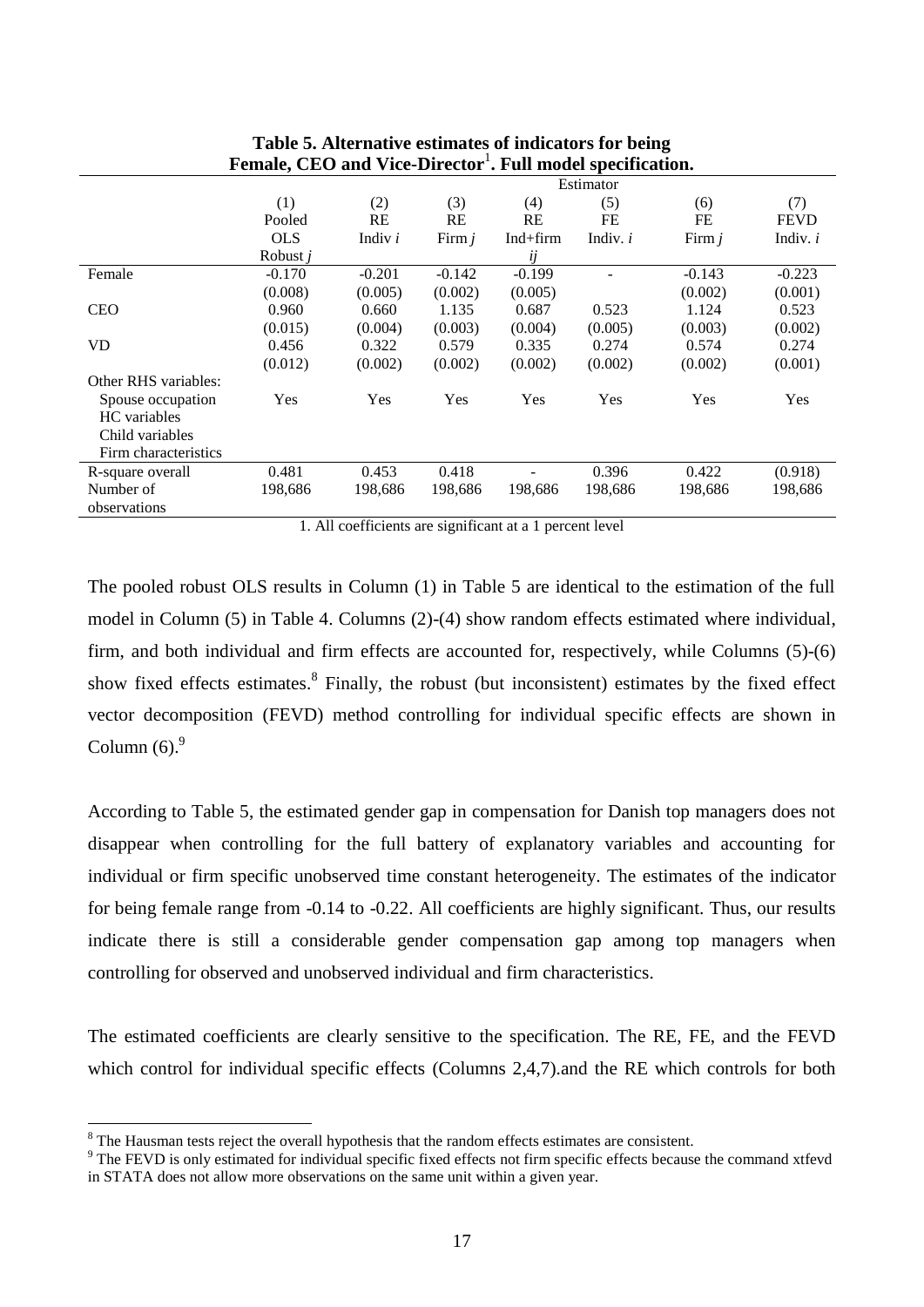|                      | $\cdots$        |           |          |              |            |          |             |  |  |
|----------------------|-----------------|-----------|----------|--------------|------------|----------|-------------|--|--|
|                      |                 |           |          |              | Estimator  |          |             |  |  |
|                      | (1)             | (2)       | (3)      | (4)          | (5)        | (6)      | (7)         |  |  |
|                      | Pooled          | RE        | RE       | <b>RE</b>    | FE         | FE       | <b>FEVD</b> |  |  |
|                      | <b>OLS</b>      | Indiv $i$ | Firm $j$ | $Ind + firm$ | Indiv. $i$ | Firm $j$ | Indiv. $i$  |  |  |
|                      | Robust <i>i</i> |           |          | ij           |            |          |             |  |  |
| Female               | $-0.170$        | $-0.201$  | $-0.142$ | $-0.199$     |            | $-0.143$ | $-0.223$    |  |  |
|                      | (0.008)         | (0.005)   | (0.002)  | (0.005)      |            | (0.002)  | (0.001)     |  |  |
| <b>CEO</b>           | 0.960           | 0.660     | 1.135    | 0.687        | 0.523      | 1.124    | 0.523       |  |  |
|                      | (0.015)         | (0.004)   | (0.003)  | (0.004)      | (0.005)    | (0.003)  | (0.002)     |  |  |
| <b>VD</b>            | 0.456           | 0.322     | 0.579    | 0.335        | 0.274      | 0.574    | 0.274       |  |  |
|                      | (0.012)         | (0.002)   | (0.002)  | (0.002)      | (0.002)    | (0.002)  | (0.001)     |  |  |
| Other RHS variables: |                 |           |          |              |            |          |             |  |  |
| Spouse occupation    | Yes             | Yes       | Yes      | Yes          | Yes        | Yes      | Yes         |  |  |
| HC variables         |                 |           |          |              |            |          |             |  |  |
| Child variables      |                 |           |          |              |            |          |             |  |  |
| Firm characteristics |                 |           |          |              |            |          |             |  |  |
| R-square overall     | 0.481           | 0.453     | 0.418    |              | 0.396      | 0.422    | (0.918)     |  |  |
| Number of            | 198,686         | 198,686   | 198,686  | 198,686      | 198,686    | 198,686  | 198,686     |  |  |
| observations         |                 |           |          |              |            |          |             |  |  |

**Table 5. Alternative estimates of indicators for being Female, CEO and Vice-Director**<sup>1</sup> **. Full model specification.**

1. All coefficients are significant at a 1 percent level

The pooled robust OLS results in Column (1) in Table 5 are identical to the estimation of the full model in Column (5) in Table 4. Columns (2)-(4) show random effects estimated where individual, firm, and both individual and firm effects are accounted for, respectively, while Columns (5)-(6) show fixed effects estimates.<sup>8</sup> Finally, the robust (but inconsistent) estimates by the fixed effect vector decomposition (FEVD) method controlling for individual specific effects are shown in Column  $(6)$ .<sup>9</sup>

According to Table 5, the estimated gender gap in compensation for Danish top managers does not disappear when controlling for the full battery of explanatory variables and accounting for individual or firm specific unobserved time constant heterogeneity. The estimates of the indicator for being female range from -0.14 to -0.22. All coefficients are highly significant. Thus, our results indicate there is still a considerable gender compensation gap among top managers when controlling for observed and unobserved individual and firm characteristics.

The estimated coefficients are clearly sensitive to the specification. The RE, FE, and the FEVD which control for individual specific effects (Columns 2,4,7) and the RE which controls for both

1

<sup>&</sup>lt;sup>8</sup> The Hausman tests reject the overall hypothesis that the random effects estimates are consistent.

<sup>&</sup>lt;sup>9</sup> The FEVD is only estimated for individual specific fixed effects not firm specific effects because the command xtfevd in STATA does not allow more observations on the same unit within a given year.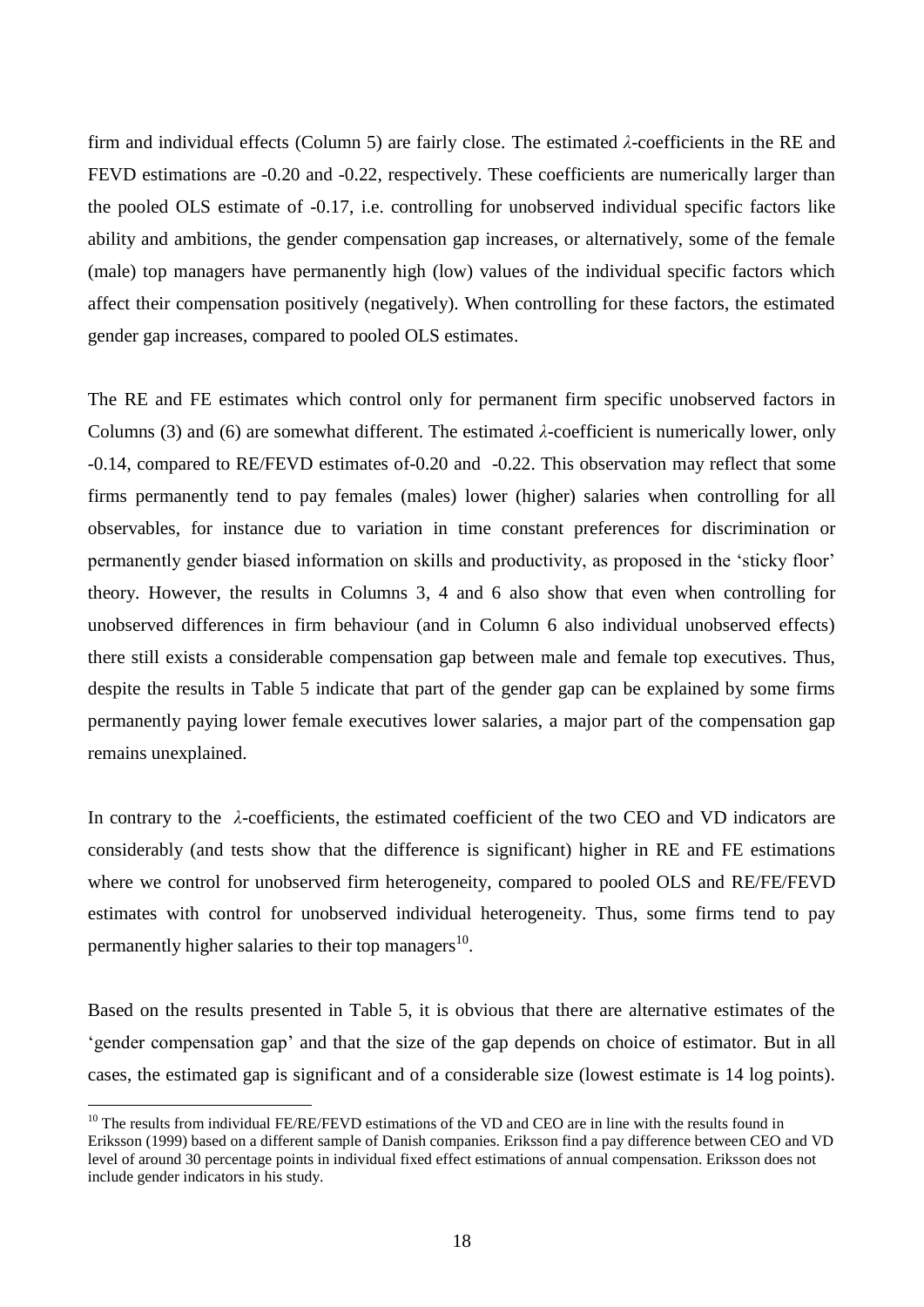firm and individual effects (Column 5) are fairly close. The estimated *λ-*coefficients in the RE and FEVD estimations are -0.20 and -0.22, respectively. These coefficients are numerically larger than the pooled OLS estimate of -0.17, i.e. controlling for unobserved individual specific factors like ability and ambitions, the gender compensation gap increases, or alternatively, some of the female (male) top managers have permanently high (low) values of the individual specific factors which affect their compensation positively (negatively). When controlling for these factors, the estimated gender gap increases, compared to pooled OLS estimates.

The RE and FE estimates which control only for permanent firm specific unobserved factors in Columns (3) and (6) are somewhat different. The estimated *λ-*coefficient is numerically lower, only -0.14, compared to RE/FEVD estimates of-0.20 and -0.22. This observation may reflect that some firms permanently tend to pay females (males) lower (higher) salaries when controlling for all observables, for instance due to variation in time constant preferences for discrimination or permanently gender biased information on skills and productivity, as proposed in the 'sticky floor' theory. However, the results in Columns 3, 4 and 6 also show that even when controlling for unobserved differences in firm behaviour (and in Column 6 also individual unobserved effects) there still exists a considerable compensation gap between male and female top executives. Thus, despite the results in Table 5 indicate that part of the gender gap can be explained by some firms permanently paying lower female executives lower salaries, a major part of the compensation gap remains unexplained.

In contrary to the *λ-*coefficients, the estimated coefficient of the two CEO and VD indicators are considerably (and tests show that the difference is significant) higher in RE and FE estimations where we control for unobserved firm heterogeneity, compared to pooled OLS and RE/FE/FEVD estimates with control for unobserved individual heterogeneity. Thus, some firms tend to pay permanently higher salaries to their top managers $^{10}$ .

Based on the results presented in Table 5, it is obvious that there are alternative estimates of the ‗gender compensation gap' and that the size of the gap depends on choice of estimator. But in all cases, the estimated gap is significant and of a considerable size (lowest estimate is 14 log points).

1

<sup>&</sup>lt;sup>10</sup> The results from individual FE/RE/FEVD estimations of the VD and CEO are in line with the results found in Eriksson (1999) based on a different sample of Danish companies. Eriksson find a pay difference between CEO and VD level of around 30 percentage points in individual fixed effect estimations of annual compensation. Eriksson does not include gender indicators in his study.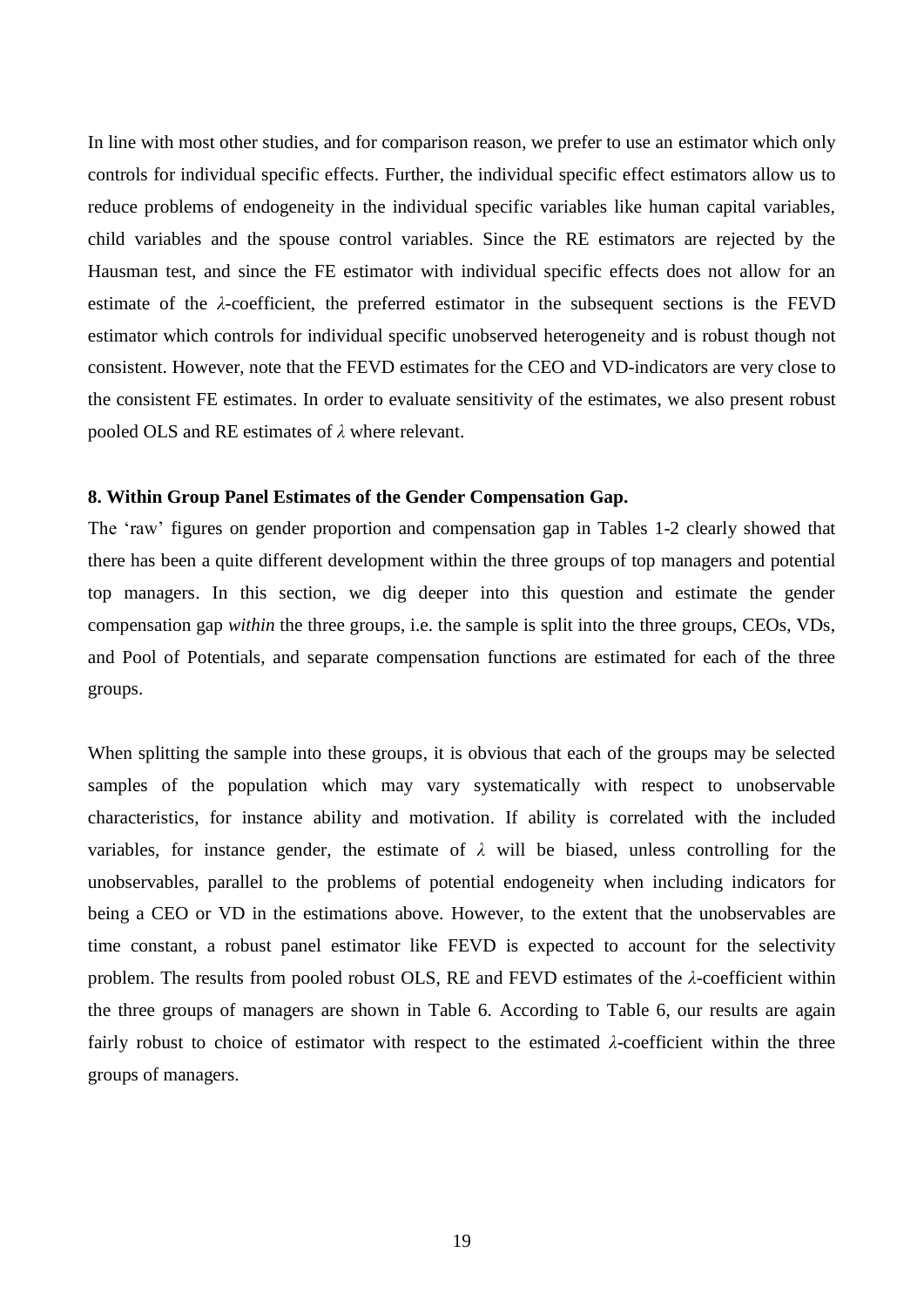In line with most other studies, and for comparison reason, we prefer to use an estimator which only controls for individual specific effects. Further, the individual specific effect estimators allow us to reduce problems of endogeneity in the individual specific variables like human capital variables, child variables and the spouse control variables. Since the RE estimators are rejected by the Hausman test, and since the FE estimator with individual specific effects does not allow for an estimate of the *λ-*coefficient, the preferred estimator in the subsequent sections is the FEVD estimator which controls for individual specific unobserved heterogeneity and is robust though not consistent. However, note that the FEVD estimates for the CEO and VD-indicators are very close to the consistent FE estimates. In order to evaluate sensitivity of the estimates, we also present robust pooled OLS and RE estimates of *λ* where relevant.

#### **8. Within Group Panel Estimates of the Gender Compensation Gap.**

The 'raw' figures on gender proportion and compensation gap in Tables 1-2 clearly showed that there has been a quite different development within the three groups of top managers and potential top managers. In this section, we dig deeper into this question and estimate the gender compensation gap *within* the three groups, i.e. the sample is split into the three groups, CEOs, VDs, and Pool of Potentials, and separate compensation functions are estimated for each of the three groups.

When splitting the sample into these groups, it is obvious that each of the groups may be selected samples of the population which may vary systematically with respect to unobservable characteristics, for instance ability and motivation. If ability is correlated with the included variables, for instance gender, the estimate of  $\lambda$  will be biased, unless controlling for the unobservables, parallel to the problems of potential endogeneity when including indicators for being a CEO or VD in the estimations above. However, to the extent that the unobservables are time constant, a robust panel estimator like FEVD is expected to account for the selectivity problem. The results from pooled robust OLS, RE and FEVD estimates of the *λ*-coefficient within the three groups of managers are shown in Table 6. According to Table 6, our results are again fairly robust to choice of estimator with respect to the estimated *λ*-coefficient within the three groups of managers.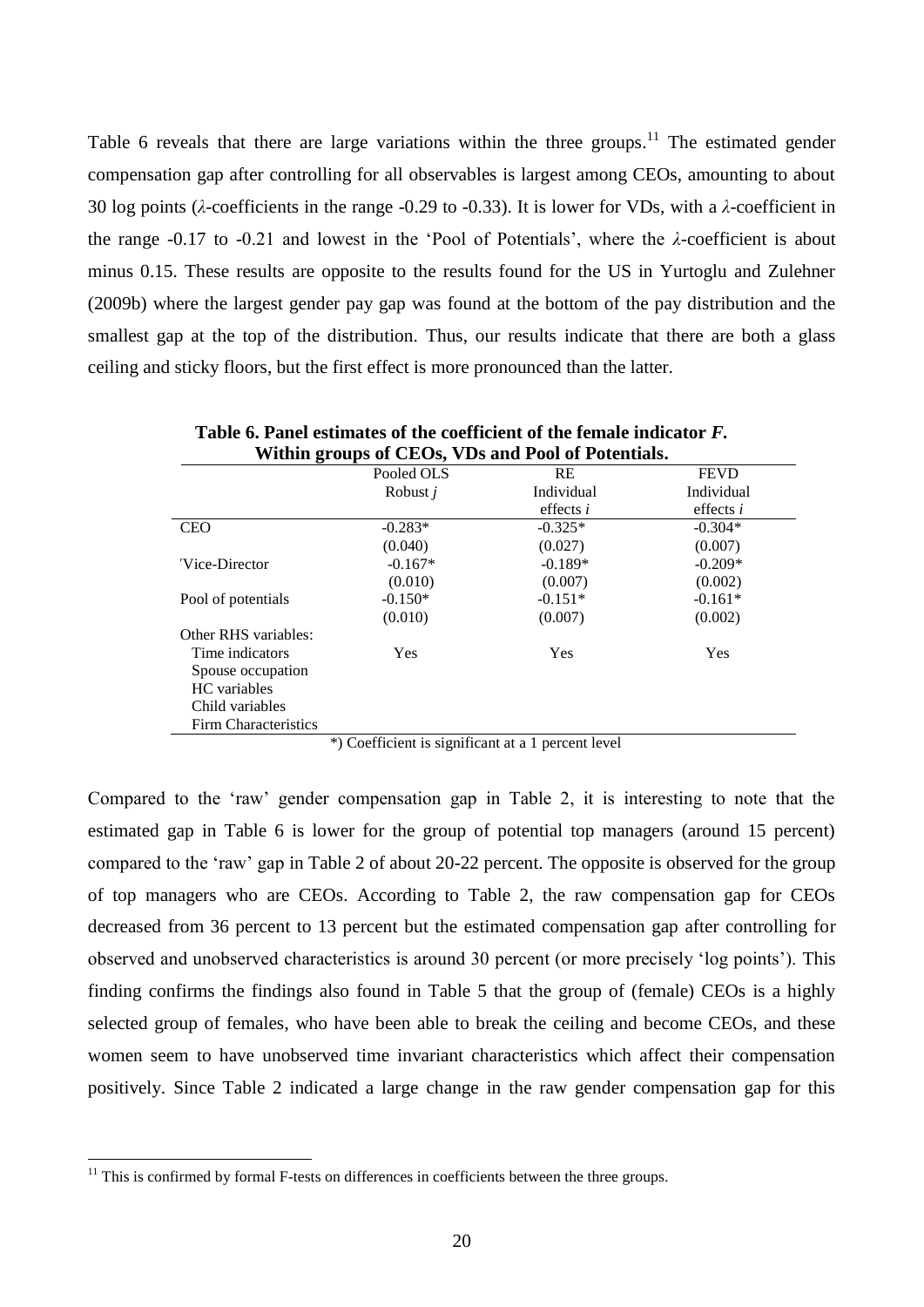Table 6 reveals that there are large variations within the three groups.<sup>11</sup> The estimated gender compensation gap after controlling for all observables is largest among CEOs, amounting to about 30 log points (*λ*-coefficients in the range -0.29 to -0.33). It is lower for VDs, with a *λ*-coefficient in the range  $-0.17$  to  $-0.21$  and lowest in the 'Pool of Potentials', where the  $\lambda$ -coefficient is about minus 0.15. These results are opposite to the results found for the US in Yurtoglu and Zulehner (2009b) where the largest gender pay gap was found at the bottom of the pay distribution and the smallest gap at the top of the distribution. Thus, our results indicate that there are both a glass ceiling and sticky floors, but the first effect is more pronounced than the latter.

|                      | Within groups of CEOs, VDs and Pool of Potentials. |             |             |  |  |  |  |  |  |
|----------------------|----------------------------------------------------|-------------|-------------|--|--|--|--|--|--|
|                      | Pooled OLS                                         | RE.         | <b>FEVD</b> |  |  |  |  |  |  |
|                      | Robust $j$                                         | Individual  | Individual  |  |  |  |  |  |  |
|                      |                                                    | effects $i$ | effects $i$ |  |  |  |  |  |  |
| <b>CEO</b>           | $-0.283*$                                          | $-0.325*$   | $-0.304*$   |  |  |  |  |  |  |
|                      | (0.040)                                            | (0.027)     | (0.007)     |  |  |  |  |  |  |
| Vice-Director        | $-0.167*$                                          | $-0.189*$   | $-0.209*$   |  |  |  |  |  |  |
|                      | (0.010)                                            | (0.007)     | (0.002)     |  |  |  |  |  |  |
| Pool of potentials   | $-0.150*$                                          | $-0.151*$   | $-0.161*$   |  |  |  |  |  |  |
|                      | (0.010)                                            | (0.007)     | (0.002)     |  |  |  |  |  |  |
| Other RHS variables: |                                                    |             |             |  |  |  |  |  |  |
| Time indicators      | Yes                                                | Yes         | Yes         |  |  |  |  |  |  |
| Spouse occupation    |                                                    |             |             |  |  |  |  |  |  |
| HC variables         |                                                    |             |             |  |  |  |  |  |  |
| Child variables      |                                                    |             |             |  |  |  |  |  |  |
| Firm Characteristics |                                                    |             |             |  |  |  |  |  |  |

Table 6. Panel estimates of the coefficient of the female indicator  $F$ . **Within groups of CEOs, VDs and Pool of Potentials.**

\*) Coefficient is significant at a 1 percent level

Compared to the 'raw' gender compensation gap in Table 2, it is interesting to note that the estimated gap in Table 6 is lower for the group of potential top managers (around 15 percent) compared to the 'raw' gap in Table 2 of about 20-22 percent. The opposite is observed for the group of top managers who are CEOs. According to Table 2, the raw compensation gap for CEOs decreased from 36 percent to 13 percent but the estimated compensation gap after controlling for observed and unobserved characteristics is around 30 percent (or more precisely ‗log points'). This finding confirms the findings also found in Table 5 that the group of (female) CEOs is a highly selected group of females, who have been able to break the ceiling and become CEOs, and these women seem to have unobserved time invariant characteristics which affect their compensation positively. Since Table 2 indicated a large change in the raw gender compensation gap for this

1

 $11$  This is confirmed by formal F-tests on differences in coefficients between the three groups.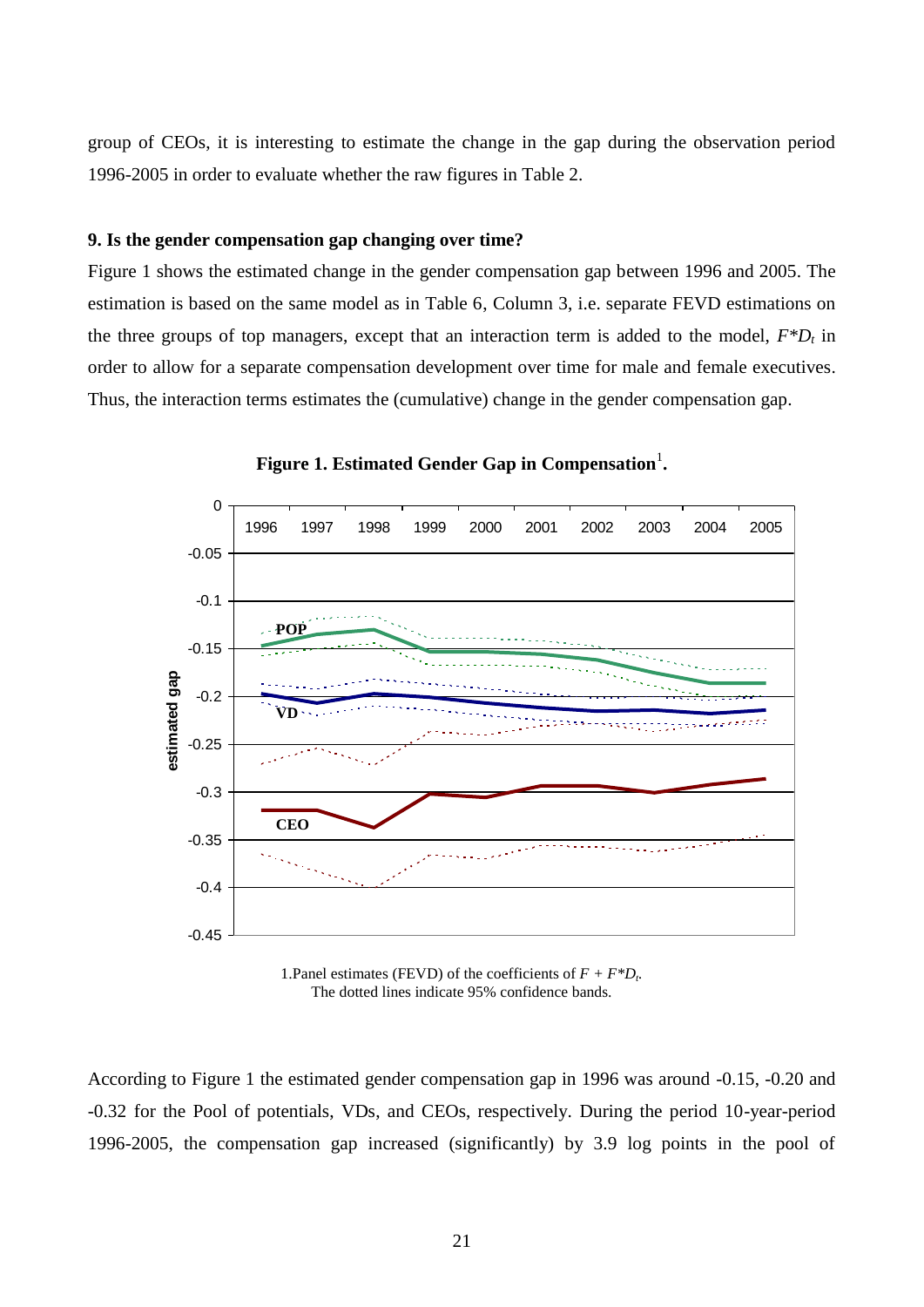group of CEOs, it is interesting to estimate the change in the gap during the observation period 1996-2005 in order to evaluate whether the raw figures in Table 2.

#### **9. Is the gender compensation gap changing over time?**

Figure 1 shows the estimated change in the gender compensation gap between 1996 and 2005. The estimation is based on the same model as in Table 6, Column 3, i.e. separate FEVD estimations on the three groups of top managers, except that an interaction term is added to the model,  $F^*D_t$  in order to allow for a separate compensation development over time for male and female executives. Thus, the interaction terms estimates the (cumulative) change in the gender compensation gap.



Figure 1. Estimated Gender Gap in Compensation<sup>1</sup>.

1. Panel estimates (FEVD) of the coefficients of  $F + F^*D_t$ . The dotted lines indicate 95% confidence bands.

According to Figure 1 the estimated gender compensation gap in 1996 was around -0.15, -0.20 and -0.32 for the Pool of potentials, VDs, and CEOs, respectively. During the period 10-year-period 1996-2005, the compensation gap increased (significantly) by 3.9 log points in the pool of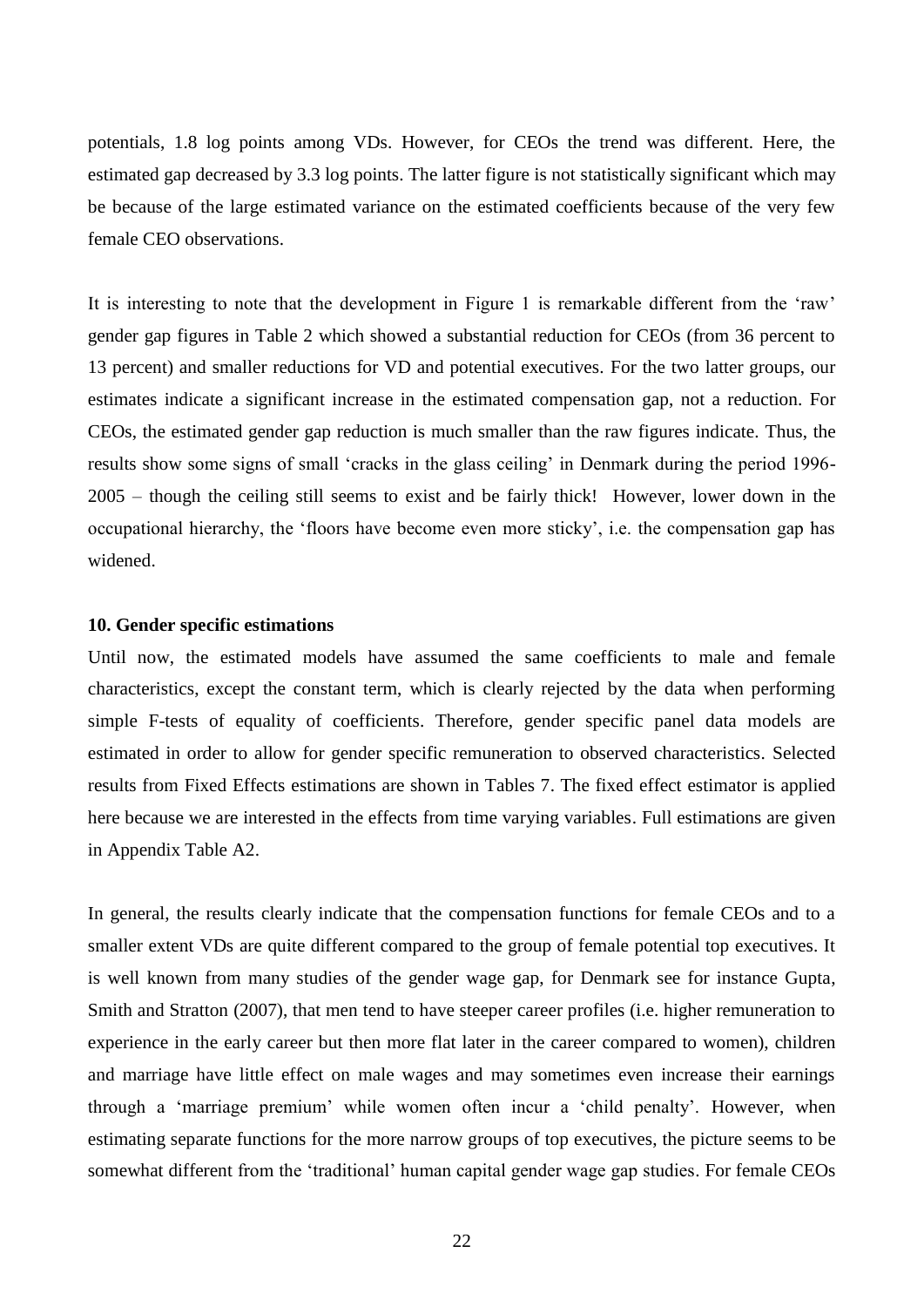potentials, 1.8 log points among VDs. However, for CEOs the trend was different. Here, the estimated gap decreased by 3.3 log points. The latter figure is not statistically significant which may be because of the large estimated variance on the estimated coefficients because of the very few female CEO observations.

It is interesting to note that the development in Figure 1 is remarkable different from the 'raw' gender gap figures in Table 2 which showed a substantial reduction for CEOs (from 36 percent to 13 percent) and smaller reductions for VD and potential executives. For the two latter groups, our estimates indicate a significant increase in the estimated compensation gap, not a reduction. For CEOs, the estimated gender gap reduction is much smaller than the raw figures indicate. Thus, the results show some signs of small 'cracks in the glass ceiling' in Denmark during the period 1996-2005 – though the ceiling still seems to exist and be fairly thick! However, lower down in the occupational hierarchy, the ‗floors have become even more sticky', i.e. the compensation gap has widened.

#### **10. Gender specific estimations**

Until now, the estimated models have assumed the same coefficients to male and female characteristics, except the constant term, which is clearly rejected by the data when performing simple F-tests of equality of coefficients. Therefore, gender specific panel data models are estimated in order to allow for gender specific remuneration to observed characteristics. Selected results from Fixed Effects estimations are shown in Tables 7. The fixed effect estimator is applied here because we are interested in the effects from time varying variables. Full estimations are given in Appendix Table A2.

In general, the results clearly indicate that the compensation functions for female CEOs and to a smaller extent VDs are quite different compared to the group of female potential top executives. It is well known from many studies of the gender wage gap, for Denmark see for instance Gupta, Smith and Stratton (2007), that men tend to have steeper career profiles (i.e. higher remuneration to experience in the early career but then more flat later in the career compared to women), children and marriage have little effect on male wages and may sometimes even increase their earnings through a 'marriage premium' while women often incur a 'child penalty'. However, when estimating separate functions for the more narrow groups of top executives, the picture seems to be somewhat different from the 'traditional' human capital gender wage gap studies. For female CEOs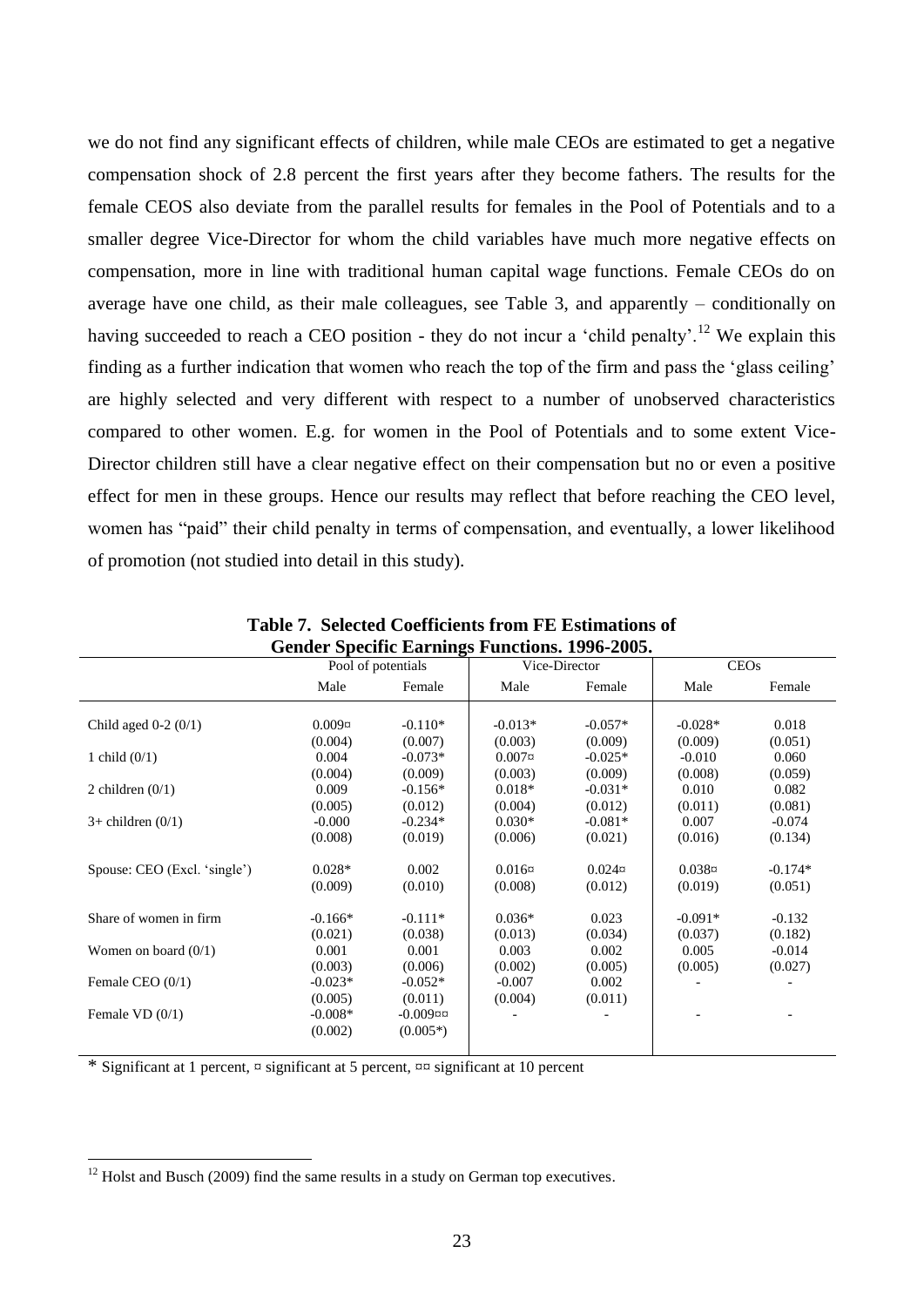we do not find any significant effects of children, while male CEOs are estimated to get a negative compensation shock of 2.8 percent the first years after they become fathers. The results for the female CEOS also deviate from the parallel results for females in the Pool of Potentials and to a smaller degree Vice-Director for whom the child variables have much more negative effects on compensation, more in line with traditional human capital wage functions. Female CEOs do on average have one child, as their male colleagues, see Table 3, and apparently – conditionally on having succeeded to reach a CEO position - they do not incur a 'child penalty'.<sup>12</sup> We explain this finding as a further indication that women who reach the top of the firm and pass the 'glass ceiling' are highly selected and very different with respect to a number of unobserved characteristics compared to other women. E.g. for women in the Pool of Potentials and to some extent Vice-Director children still have a clear negative effect on their compensation but no or even a positive effect for men in these groups. Hence our results may reflect that before reaching the CEO level, women has "paid" their child penalty in terms of compensation, and eventually, a lower likelihood of promotion (not studied into detail in this study).

| Ochuci Dpechic Earnings Functions. 1770-2002. |               |                    |               |               |               |           |  |  |  |
|-----------------------------------------------|---------------|--------------------|---------------|---------------|---------------|-----------|--|--|--|
|                                               |               | Pool of potentials |               | Vice-Director | <b>CEOs</b>   |           |  |  |  |
|                                               | Male          | Female             | Male          | Female        | Male          | Female    |  |  |  |
|                                               |               |                    |               |               |               |           |  |  |  |
| Child aged $0-2$ $(0/1)$                      | $0.009\alpha$ | $-0.110*$          | $-0.013*$     | $-0.057*$     | $-0.028*$     | 0.018     |  |  |  |
|                                               | (0.004)       | (0.007)            | (0.003)       | (0.009)       | (0.009)       | (0.051)   |  |  |  |
| 1 child $(0/1)$                               | 0.004         | $-0.073*$          | $0.007$ ¤     | $-0.025*$     | $-0.010$      | 0.060     |  |  |  |
|                                               | (0.004)       | (0.009)            | (0.003)       | (0.009)       | (0.008)       | (0.059)   |  |  |  |
| 2 children $(0/1)$                            | 0.009         | $-0.156*$          | $0.018*$      | $-0.031*$     | 0.010         | 0.082     |  |  |  |
|                                               | (0.005)       | (0.012)            | (0.004)       | (0.012)       | (0.011)       | (0.081)   |  |  |  |
| $3+$ children $(0/1)$                         | $-0.000$      | $-0.234*$          | $0.030*$      | $-0.081*$     | 0.007         | $-0.074$  |  |  |  |
|                                               | (0.008)       | (0.019)            | (0.006)       | (0.021)       | (0.016)       | (0.134)   |  |  |  |
| Spouse: CEO (Excl. 'single')                  | $0.028*$      | 0.002              | $0.016\alpha$ | $0.024\pi$    | $0.038\alpha$ | $-0.174*$ |  |  |  |
|                                               | (0.009)       | (0.010)            | (0.008)       | (0.012)       | (0.019)       | (0.051)   |  |  |  |
| Share of women in firm                        | $-0.166*$     | $-0.111*$          | $0.036*$      | 0.023         | $-0.091*$     | $-0.132$  |  |  |  |
|                                               | (0.021)       | (0.038)            | (0.013)       | (0.034)       | (0.037)       | (0.182)   |  |  |  |
| Women on board $(0/1)$                        | 0.001         | 0.001              | 0.003         | 0.002         | 0.005         | $-0.014$  |  |  |  |
|                                               | (0.003)       | (0.006)            | (0.002)       | (0.005)       | (0.005)       | (0.027)   |  |  |  |
| Female CEO $(0/1)$                            | $-0.023*$     | $-0.052*$          | $-0.007$      | 0.002         |               |           |  |  |  |
|                                               | (0.005)       | (0.011)            | (0.004)       | (0.011)       |               |           |  |  |  |
| Female $VD(0/1)$                              | $-0.008*$     | $-0.009$ ¤¤        |               |               |               |           |  |  |  |
|                                               | (0.002)       | $(0.005*)$         |               |               |               |           |  |  |  |
|                                               |               |                    |               |               |               |           |  |  |  |

**Table 7. Selected Coefficients from FE Estimations of Gender Specific Earnings Functions. 1996-2005.**

\* Significant at 1 percent,  $\alpha$  significant at 5 percent,  $\alpha$  significant at 10 percent

1

 $12$  Holst and Busch (2009) find the same results in a study on German top executives.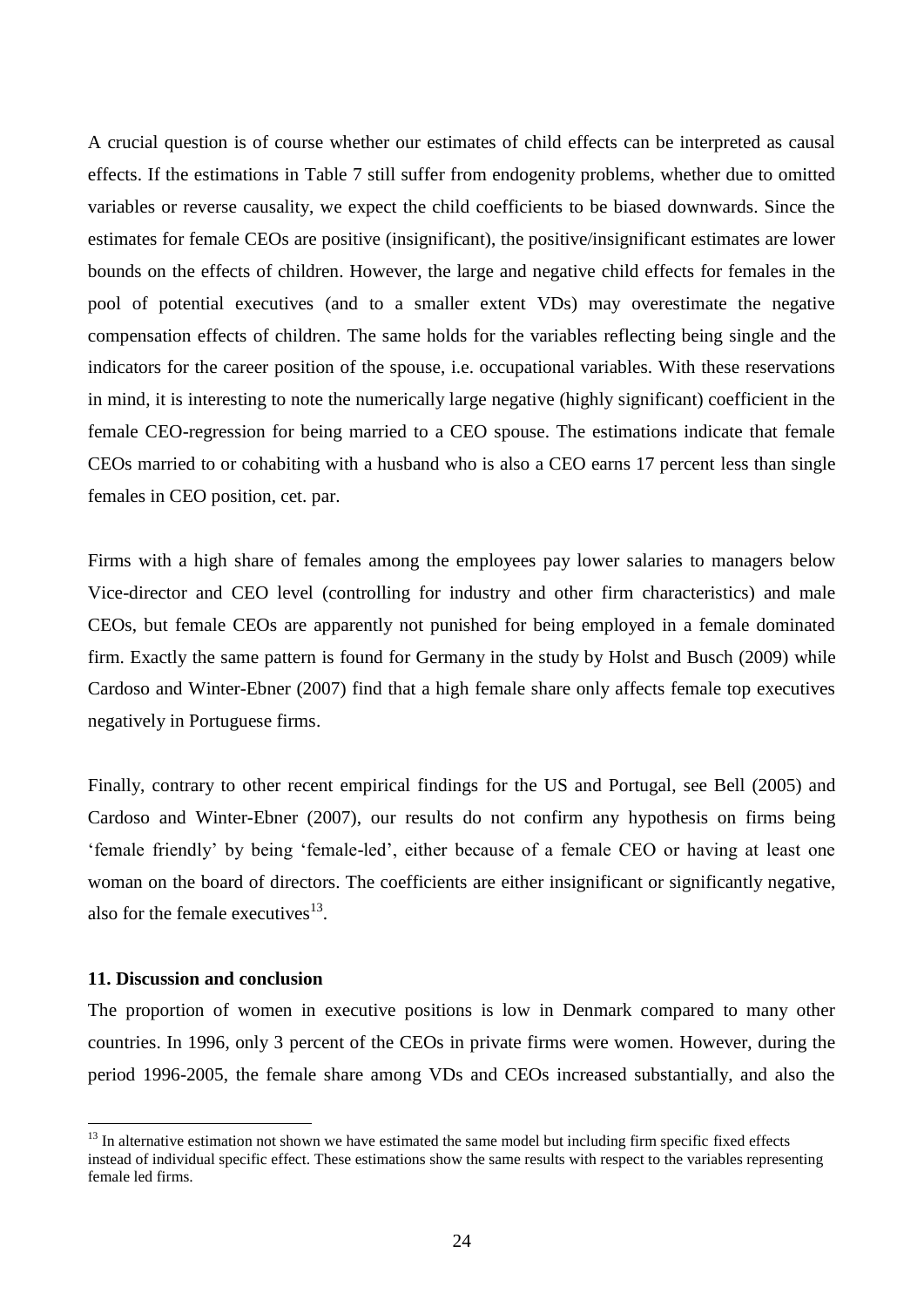A crucial question is of course whether our estimates of child effects can be interpreted as causal effects. If the estimations in Table 7 still suffer from endogenity problems, whether due to omitted variables or reverse causality, we expect the child coefficients to be biased downwards. Since the estimates for female CEOs are positive (insignificant), the positive/insignificant estimates are lower bounds on the effects of children. However, the large and negative child effects for females in the pool of potential executives (and to a smaller extent VDs) may overestimate the negative compensation effects of children. The same holds for the variables reflecting being single and the indicators for the career position of the spouse, i.e. occupational variables. With these reservations in mind, it is interesting to note the numerically large negative (highly significant) coefficient in the female CEO-regression for being married to a CEO spouse. The estimations indicate that female CEOs married to or cohabiting with a husband who is also a CEO earns 17 percent less than single females in CEO position, cet. par.

Firms with a high share of females among the employees pay lower salaries to managers below Vice-director and CEO level (controlling for industry and other firm characteristics) and male CEOs, but female CEOs are apparently not punished for being employed in a female dominated firm. Exactly the same pattern is found for Germany in the study by Holst and Busch (2009) while Cardoso and Winter-Ebner (2007) find that a high female share only affects female top executives negatively in Portuguese firms.

Finally, contrary to other recent empirical findings for the US and Portugal, see Bell (2005) and Cardoso and Winter-Ebner (2007), our results do not confirm any hypothesis on firms being ‗female friendly' by being ‗female-led', either because of a female CEO or having at least one woman on the board of directors. The coefficients are either insignificant or significantly negative, also for the female executives $^{13}$ .

#### **11. Discussion and conclusion**

1

The proportion of women in executive positions is low in Denmark compared to many other countries. In 1996, only 3 percent of the CEOs in private firms were women. However, during the period 1996-2005, the female share among VDs and CEOs increased substantially, and also the

<sup>&</sup>lt;sup>13</sup> In alternative estimation not shown we have estimated the same model but including firm specific fixed effects instead of individual specific effect. These estimations show the same results with respect to the variables representing female led firms.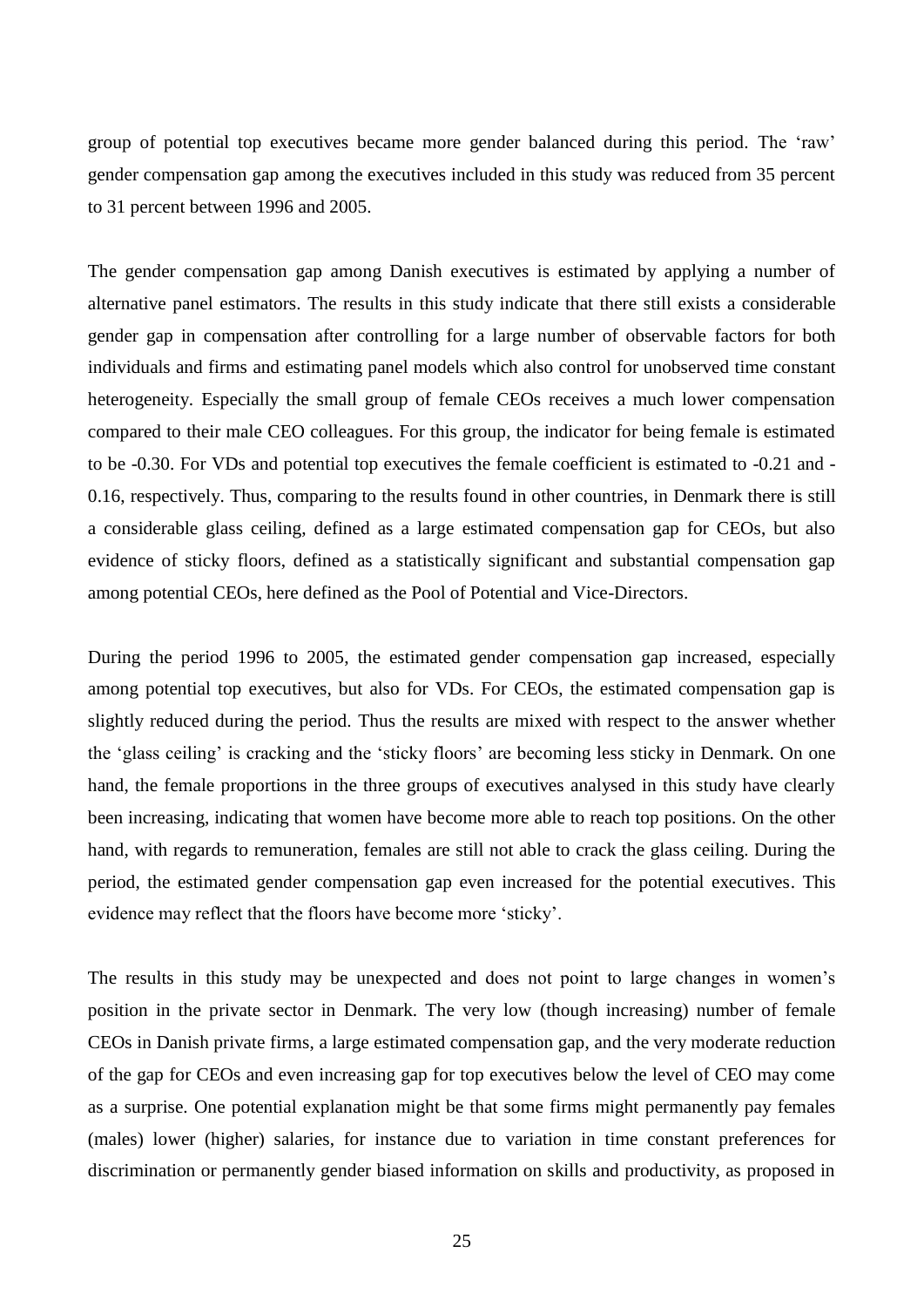group of potential top executives became more gender balanced during this period. The 'raw' gender compensation gap among the executives included in this study was reduced from 35 percent to 31 percent between 1996 and 2005.

The gender compensation gap among Danish executives is estimated by applying a number of alternative panel estimators. The results in this study indicate that there still exists a considerable gender gap in compensation after controlling for a large number of observable factors for both individuals and firms and estimating panel models which also control for unobserved time constant heterogeneity. Especially the small group of female CEOs receives a much lower compensation compared to their male CEO colleagues. For this group, the indicator for being female is estimated to be -0.30. For VDs and potential top executives the female coefficient is estimated to -0.21 and - 0.16, respectively. Thus, comparing to the results found in other countries, in Denmark there is still a considerable glass ceiling, defined as a large estimated compensation gap for CEOs, but also evidence of sticky floors, defined as a statistically significant and substantial compensation gap among potential CEOs, here defined as the Pool of Potential and Vice-Directors.

During the period 1996 to 2005, the estimated gender compensation gap increased, especially among potential top executives, but also for VDs. For CEOs, the estimated compensation gap is slightly reduced during the period. Thus the results are mixed with respect to the answer whether the 'glass ceiling' is cracking and the 'sticky floors' are becoming less sticky in Denmark. On one hand, the female proportions in the three groups of executives analysed in this study have clearly been increasing, indicating that women have become more able to reach top positions. On the other hand, with regards to remuneration, females are still not able to crack the glass ceiling. During the period, the estimated gender compensation gap even increased for the potential executives. This evidence may reflect that the floors have become more 'sticky'.

The results in this study may be unexpected and does not point to large changes in women's position in the private sector in Denmark. The very low (though increasing) number of female CEOs in Danish private firms, a large estimated compensation gap, and the very moderate reduction of the gap for CEOs and even increasing gap for top executives below the level of CEO may come as a surprise. One potential explanation might be that some firms might permanently pay females (males) lower (higher) salaries, for instance due to variation in time constant preferences for discrimination or permanently gender biased information on skills and productivity, as proposed in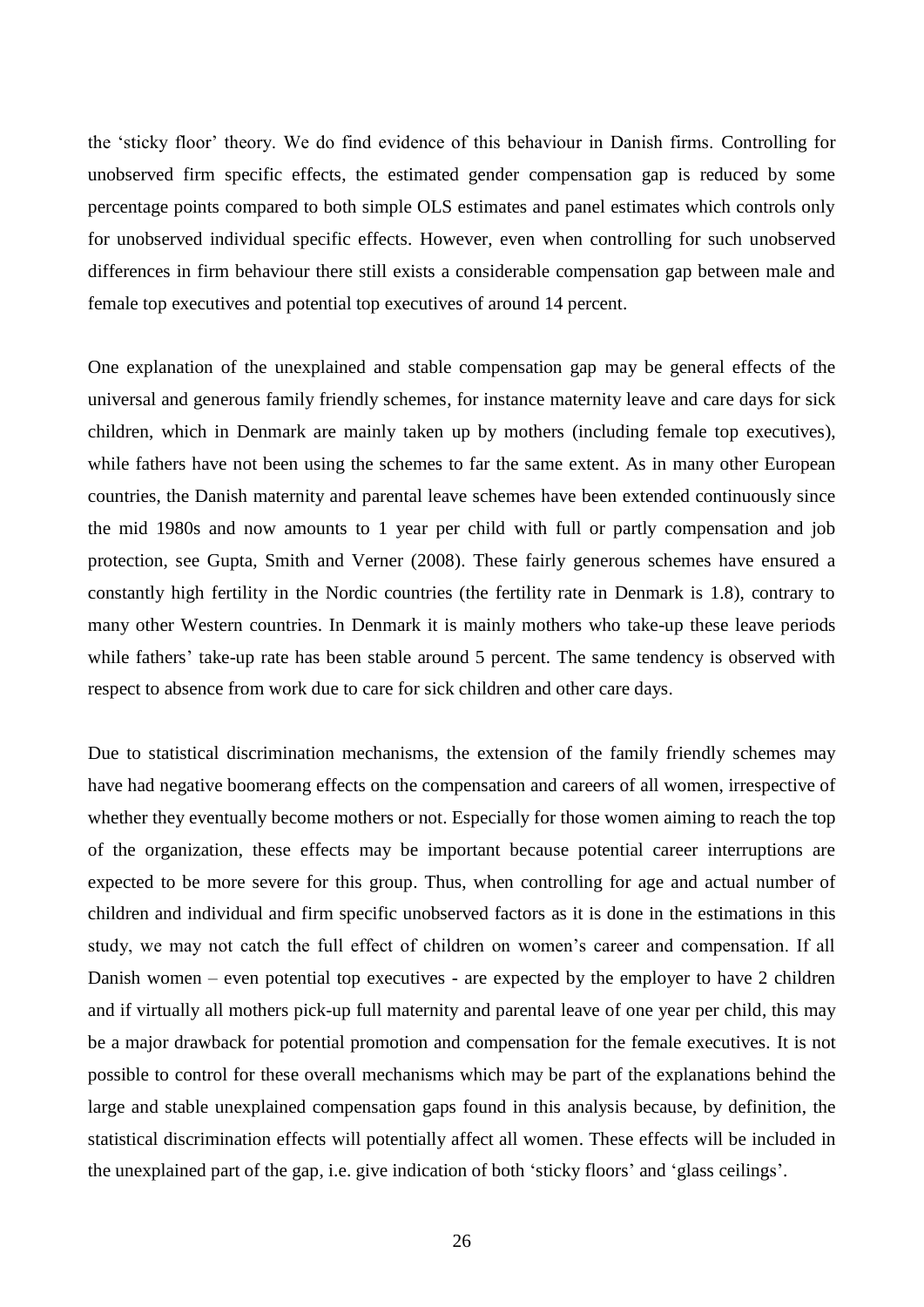the ‗sticky floor' theory. We do find evidence of this behaviour in Danish firms. Controlling for unobserved firm specific effects, the estimated gender compensation gap is reduced by some percentage points compared to both simple OLS estimates and panel estimates which controls only for unobserved individual specific effects. However, even when controlling for such unobserved differences in firm behaviour there still exists a considerable compensation gap between male and female top executives and potential top executives of around 14 percent.

One explanation of the unexplained and stable compensation gap may be general effects of the universal and generous family friendly schemes, for instance maternity leave and care days for sick children, which in Denmark are mainly taken up by mothers (including female top executives), while fathers have not been using the schemes to far the same extent. As in many other European countries, the Danish maternity and parental leave schemes have been extended continuously since the mid 1980s and now amounts to 1 year per child with full or partly compensation and job protection, see Gupta, Smith and Verner (2008). These fairly generous schemes have ensured a constantly high fertility in the Nordic countries (the fertility rate in Denmark is 1.8), contrary to many other Western countries. In Denmark it is mainly mothers who take-up these leave periods while fathers' take-up rate has been stable around 5 percent. The same tendency is observed with respect to absence from work due to care for sick children and other care days.

Due to statistical discrimination mechanisms, the extension of the family friendly schemes may have had negative boomerang effects on the compensation and careers of all women, irrespective of whether they eventually become mothers or not. Especially for those women aiming to reach the top of the organization, these effects may be important because potential career interruptions are expected to be more severe for this group. Thus, when controlling for age and actual number of children and individual and firm specific unobserved factors as it is done in the estimations in this study, we may not catch the full effect of children on women's career and compensation. If all Danish women – even potential top executives - are expected by the employer to have 2 children and if virtually all mothers pick-up full maternity and parental leave of one year per child, this may be a major drawback for potential promotion and compensation for the female executives. It is not possible to control for these overall mechanisms which may be part of the explanations behind the large and stable unexplained compensation gaps found in this analysis because, by definition, the statistical discrimination effects will potentially affect all women. These effects will be included in the unexplained part of the gap, i.e. give indication of both 'sticky floors' and 'glass ceilings'.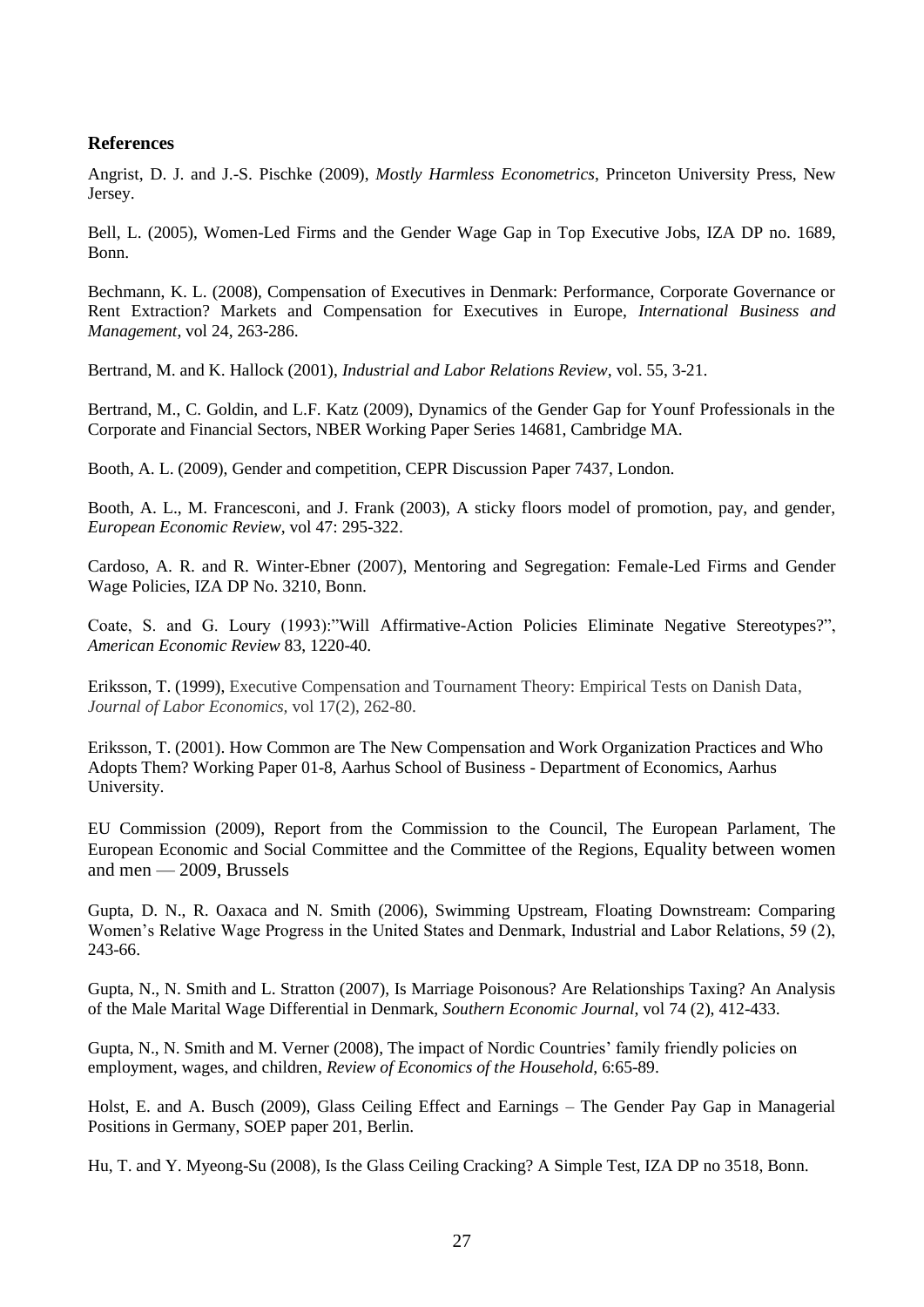#### **References**

Angrist, D. J. and J.-S. Pischke (2009), *Mostly Harmless Econometrics*, Princeton University Press, New Jersey.

Bell, L. (2005), Women-Led Firms and the Gender Wage Gap in Top Executive Jobs, IZA DP no. 1689, Bonn.

Bechmann, K. L. (2008), Compensation of Executives in Denmark: Performance, Corporate Governance or Rent Extraction? Markets and Compensation for Executives in Europe, *International Business and Management*, vol 24, 263-286.

Bertrand, M. and K. Hallock (2001), *Industrial and Labor Relations Review*, vol. 55, 3-21.

Bertrand, M., C. Goldin, and L.F. Katz (2009), Dynamics of the Gender Gap for Younf Professionals in the Corporate and Financial Sectors, NBER Working Paper Series 14681, Cambridge MA.

Booth, A. L. (2009), Gender and competition, CEPR Discussion Paper 7437, London.

Booth, A. L., M. Francesconi, and J. Frank (2003), A sticky floors model of promotion, pay, and gender, *European Economic Review*, vol 47: 295-322.

Cardoso, A. R. and R. Winter-Ebner (2007), Mentoring and Segregation: Female-Led Firms and Gender Wage Policies, IZA DP No. 3210, Bonn.

Coate, S. and G. Loury (1993): "Will Affirmative-Action Policies Eliminate Negative Stereotypes?", *American Economic Review* 83, 1220-40.

Eriksson, T. (1999), Executive Compensation and Tournament Theory: Empirical Tests on Danish Data, *Journal of Labor Economics,* vol 17(2), 262-80.

Eriksson, T. (2001). How Common are The New Compensation and Work Organization Practices and Who Adopts Them? Working Paper 01-8, Aarhus School of Business - Department of Economics, Aarhus University.

EU Commission (2009), Report from the Commission to the Council, The European Parlament, The European Economic and Social Committee and the Committee of the Regions, Equality between women and men — 2009, Brussels

Gupta, D. N., R. Oaxaca and N. Smith (2006), Swimming Upstream, Floating Downstream: Comparing Women's Relative Wage Progress in the United States and Denmark, Industrial and Labor Relations, 59 (2), 243-66.

Gupta, N., N. Smith and L. Stratton (2007), Is Marriage Poisonous? Are Relationships Taxing? An Analysis of the Male Marital Wage Differential in Denmark, *Southern Economic Journal*, vol 74 (2), 412-433.

Gupta, N., N. Smith and M. Verner (2008), The impact of Nordic Countries' family friendly policies on employment, wages, and children, *Review of Economics of the Household*, 6:65-89.

Holst, E. and A. Busch (2009), Glass Ceiling Effect and Earnings – The Gender Pay Gap in Managerial Positions in Germany, SOEP paper 201, Berlin.

Hu, T. and Y. Myeong-Su (2008), Is the Glass Ceiling Cracking? A Simple Test, IZA DP no 3518, Bonn.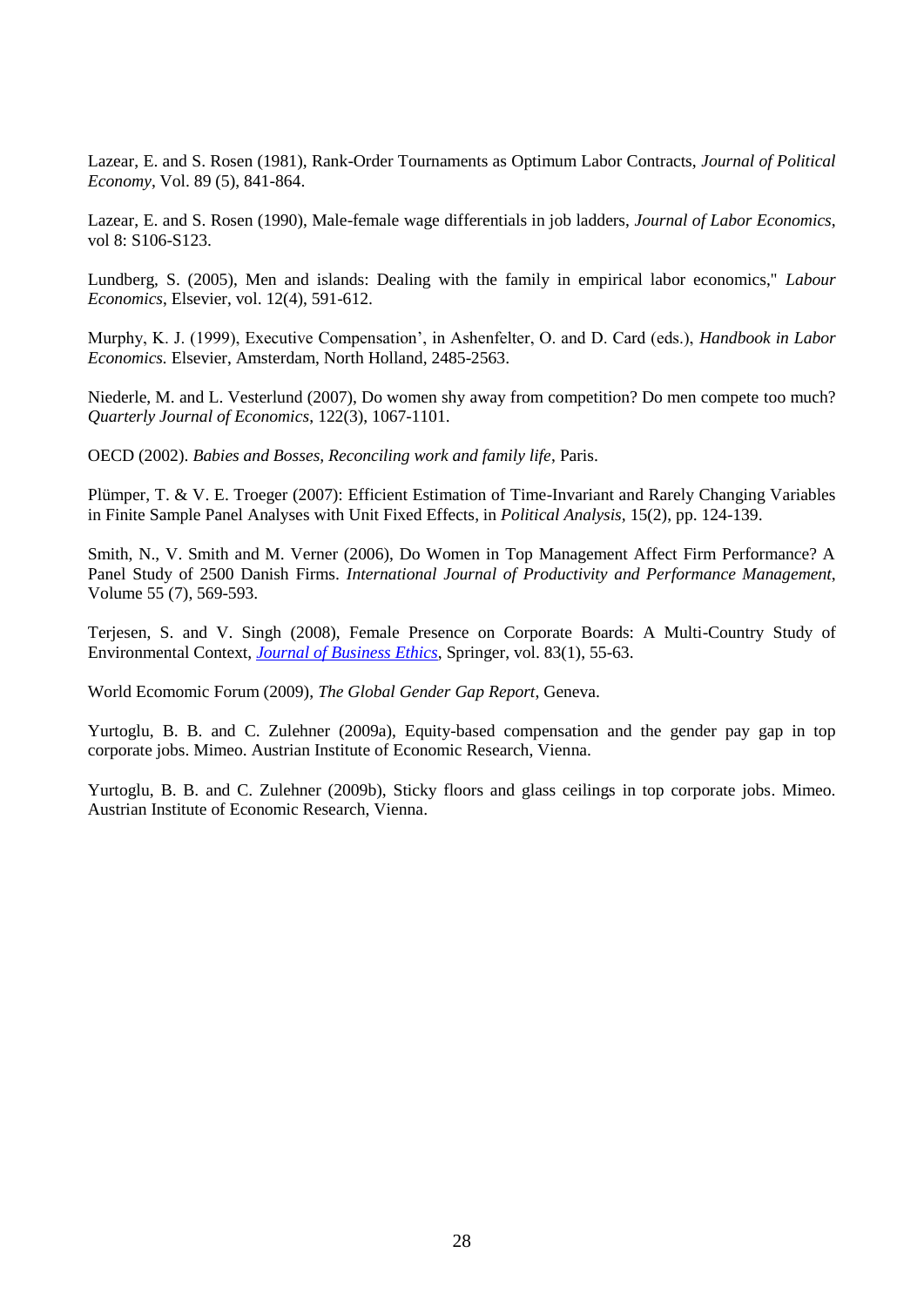Lazear, E. and S. Rosen (1981), Rank-Order Tournaments as Optimum Labor Contracts, *Journal of Political Economy*, Vol. 89 (5), 841-864.

Lazear, E. and S. Rosen (1990), Male-female wage differentials in job ladders, *Journal of Labor Economics*, vol 8: S106-S123.

Lundberg, S. (2005), Men and islands: Dealing with the family in empirical labor economics," *Labour Economics*, Elsevier, vol. 12(4), 591-612.

Murphy, K. J. (1999), Executive Compensation', in Ashenfelter, O. and D. Card (eds.), *Handbook in Labor Economics.* Elsevier, Amsterdam, North Holland, 2485-2563.

Niederle, M. and L. Vesterlund (2007), Do women shy away from competition? Do men compete too much? *Quarterly Journal of Economics*, 122(3), 1067-1101.

OECD (2002). *Babies and Bosses, Reconciling work and family life*, Paris.

Plümper, T. & V. E. Troeger (2007): Efficient Estimation of Time-Invariant and Rarely Changing Variables in Finite Sample Panel Analyses with Unit Fixed Effects, in *Political Analysis,* 15(2), pp. 124-139.

Smith, N., V. Smith and M. Verner (2006), Do Women in Top Management Affect Firm Performance? A Panel Study of 2500 Danish Firms. *International Journal of Productivity and Performance Management*, Volume 55 (7), 569-593.

Terjesen, S. and V. Singh (2008), Female Presence on Corporate Boards: A Multi-Country Study of Environmental Context, *[Journal of Business Ethics](http://ideas.repec.org/s/kap/jbuset.html)*, Springer, vol. 83(1), 55-63.

World Ecomomic Forum (2009), *The Global Gender Gap Report*, Geneva.

Yurtoglu, B. B. and C. Zulehner (2009a), Equity-based compensation and the gender pay gap in top corporate jobs. Mimeo. Austrian Institute of Economic Research, Vienna.

Yurtoglu, B. B. and C. Zulehner (2009b), Sticky floors and glass ceilings in top corporate jobs. Mimeo. Austrian Institute of Economic Research, Vienna.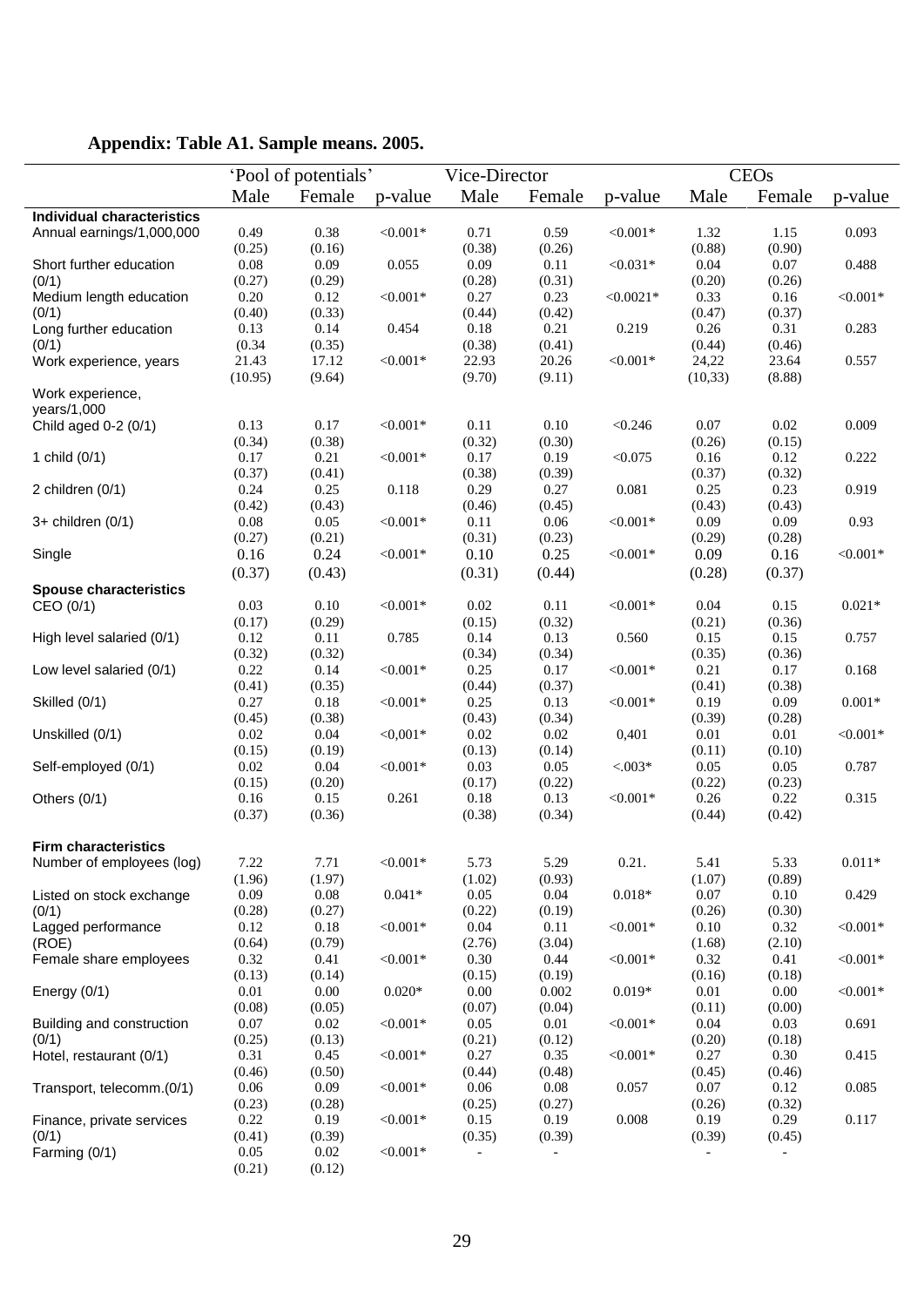## **Appendix: Table A1. Sample means. 2005.**

|                                   |          | 'Pool of potentials' |            | Vice-Director  |                          |             |          | <b>CEOs</b>              |             |
|-----------------------------------|----------|----------------------|------------|----------------|--------------------------|-------------|----------|--------------------------|-------------|
|                                   | Male     | Female               | p-value    | Male           | Female                   | p-value     | Male     | Female                   | p-value     |
| <b>Individual characteristics</b> |          |                      |            |                |                          |             |          |                          |             |
| Annual earnings/1,000,000         | 0.49     | 0.38                 | $< 0.001*$ | 0.71           | 0.59                     | ${<}0.001*$ | 1.32     | 1.15                     | 0.093       |
|                                   | (0.25)   | (0.16)               |            | (0.38)         | (0.26)                   |             | (0.88)   | (0.90)                   |             |
| Short further education           | $0.08\,$ | 0.09                 | 0.055      | 0.09           | 0.11                     | $< 0.031*$  | 0.04     | 0.07                     | 0.488       |
| (0/1)                             | (0.27)   | (0.29)               |            | (0.28)         | (0.31)                   |             | (0.20)   | (0.26)                   |             |
| Medium length education           | 0.20     | 0.12                 | $< 0.001*$ | 0.27           | 0.23                     | $< 0.0021*$ | 0.33     | 0.16                     | $< 0.001*$  |
| (0/1)                             | (0.40)   | (0.33)               |            | (0.44)         | (0.42)                   |             | (0.47)   | (0.37)                   |             |
| Long further education            | 0.13     | 0.14                 | 0.454      | 0.18           | 0.21                     | 0.219       | 0.26     | 0.31                     | 0.283       |
| (0/1)                             | (0.34)   | (0.35)               |            | (0.38)         | (0.41)                   |             | (0.44)   | (0.46)                   |             |
| Work experience, years            | 21.43    | 17.12                | $< 0.001*$ | 22.93          | 20.26                    | ${<}0.001*$ | 24,22    | 23.64                    | 0.557       |
|                                   | (10.95)  | (9.64)               |            | (9.70)         | (9.11)                   |             | (10, 33) | (8.88)                   |             |
| Work experience,<br>years/1,000   |          |                      |            |                |                          |             |          |                          |             |
| Child aged 0-2 (0/1)              | 0.13     | 0.17                 | $< 0.001*$ | 0.11           | $0.10\,$                 | < 0.246     | 0.07     | 0.02                     | 0.009       |
|                                   | (0.34)   | (0.38)               |            | (0.32)         | (0.30)                   |             | (0.26)   | (0.15)                   |             |
| 1 child (0/1)                     | 0.17     | 0.21                 | $< 0.001*$ | 0.17           | 0.19                     | < 0.075     | 0.16     | 0.12                     | 0.222       |
|                                   | (0.37)   | (0.41)               |            | (0.38)         | (0.39)                   |             | (0.37)   | (0.32)                   |             |
| 2 children $(0/1)$                | 0.24     | 0.25                 | 0.118      | 0.29           | 0.27                     | 0.081       | 0.25     | 0.23                     | 0.919       |
|                                   | (0.42)   | (0.43)               |            | (0.46)         | (0.45)                   |             | (0.43)   | (0.43)                   |             |
| 3+ children (0/1)                 | $0.08\,$ | 0.05                 | $< 0.001*$ | 0.11           | 0.06                     | ${<}0.001*$ | 0.09     | 0.09                     | 0.93        |
|                                   | (0.27)   | (0.21)               |            | (0.31)         | (0.23)                   |             | (0.29)   | (0.28)                   |             |
| Single                            | 0.16     | 0.24                 | $< 0.001*$ | 0.10           | 0.25                     | ${<}0.001*$ | 0.09     | 0.16                     | ${<}0.001*$ |
|                                   | (0.37)   | (0.43)               |            | (0.31)         | (0.44)                   |             | (0.28)   | (0.37)                   |             |
| <b>Spouse characteristics</b>     |          |                      |            |                |                          |             |          |                          |             |
| CEO (0/1)                         | 0.03     | $0.10\,$             | $< 0.001*$ | 0.02           | 0.11                     | ${<}0.001*$ | 0.04     | 0.15                     | $0.021*$    |
|                                   | (0.17)   | (0.29)               |            | (0.15)         | (0.32)                   |             | (0.21)   | (0.36)                   |             |
| High level salaried (0/1)         | 0.12     | 0.11                 | 0.785      | 0.14           | 0.13                     | 0.560       | 0.15     | 0.15                     | 0.757       |
|                                   | (0.32)   | (0.32)               |            | (0.34)         | (0.34)                   |             | (0.35)   | (0.36)                   |             |
| Low level salaried (0/1)          | 0.22     | 0.14                 | $< 0.001*$ | 0.25           | 0.17                     | ${<}0.001*$ | 0.21     | 0.17                     | 0.168       |
|                                   | (0.41)   | (0.35)               |            | (0.44)         | (0.37)                   |             | (0.41)   | (0.38)                   |             |
| Skilled (0/1)                     | 0.27     | 0.18                 | $< 0.001*$ | 0.25           | 0.13                     | ${<}0.001*$ | 0.19     | 0.09                     | $0.001\,^*$ |
|                                   | (0.45)   | (0.38)               |            | (0.43)         | (0.34)                   |             | (0.39)   | (0.28)                   |             |
| Unskilled (0/1)                   | $0.02\,$ | $0.04\,$             | $<0,001*$  | $0.02\,$       | $0.02\,$                 | 0,401       | $0.01\,$ | 0.01                     | $< 0.001*$  |
|                                   | (0.15)   | (0.19)               |            | (0.13)         | (0.14)                   |             | (0.11)   | (0.10)                   |             |
| Self-employed (0/1)               | 0.02     | $0.04\,$             | $< 0.001*$ | 0.03           | 0.05                     | $< 0.003*$  | 0.05     | 0.05                     | 0.787       |
|                                   | (0.15)   | (0.20)               |            | (0.17)         | (0.22)                   |             | (0.22)   | (0.23)                   |             |
| Others (0/1)                      | 0.16     | 0.15                 | 0.261      | 0.18           | 0.13                     | ${<}0.001*$ | 0.26     | 0.22                     | 0.315       |
|                                   | (0.37)   | (0.36)               |            | (0.38)         | (0.34)                   |             | (0.44)   | (0.42)                   |             |
| <b>Firm characteristics</b>       |          |                      |            |                |                          |             |          |                          |             |
| Number of employees (log)         | 7.22     | 7.71                 | $< 0.001*$ | 5.73           | 5.29                     | 0.21.       | 5.41     | 5.33                     | $0.011*$    |
|                                   | (1.96)   | (1.97)               |            | (1.02)         | (0.93)                   |             | (1.07)   | (0.89)                   |             |
| Listed on stock exchange          | $0.09\,$ | $0.08\,$             | $0.041*$   | 0.05           | $0.04\,$                 | $0.018*$    | $0.07\,$ | 0.10                     | 0.429       |
| (0/1)                             | (0.28)   | (0.27)               |            | (0.22)         | (0.19)                   |             | (0.26)   | (0.30)                   |             |
| Lagged performance                | 0.12     | $0.18\,$             | $< 0.001*$ | $0.04\,$       | 0.11                     | $< 0.001*$  | 0.10     | 0.32                     | $< 0.001*$  |
| (ROE)                             | (0.64)   | (0.79)               |            | (2.76)         | (3.04)                   |             | (1.68)   | (2.10)                   |             |
| Female share employees            | 0.32     | 0.41                 | $< 0.001*$ | $0.30\,$       | 0.44                     | $< 0.001*$  | 0.32     | 0.41                     | $< 0.001*$  |
|                                   | (0.13)   | (0.14)               |            | (0.15)         | (0.19)                   |             | (0.16)   | (0.18)                   |             |
| Energy (0/1)                      | 0.01     | $0.00\,$             | $0.020*$   | $0.00\,$       | 0.002                    | $0.019*$    | $0.01\,$ | 0.00                     | $< 0.001*$  |
|                                   | (0.08)   | (0.05)               |            | (0.07)         | (0.04)                   |             | (0.11)   | (0.00)                   |             |
| Building and construction         | 0.07     | $0.02\,$             | $< 0.001*$ | 0.05           | $0.01\,$                 | ${<}0.001*$ | 0.04     | 0.03                     | 0.691       |
| (0/1)                             | (0.25)   | (0.13)               |            | (0.21)         | (0.12)                   |             | (0.20)   | (0.18)                   |             |
| Hotel, restaurant (0/1)           | 0.31     | 0.45                 | $< 0.001*$ | 0.27           | 0.35                     | $< 0.001*$  | 0.27     | 0.30                     | 0.415       |
|                                   | (0.46)   | (0.50)               |            | (0.44)         | (0.48)                   |             | (0.45)   | (0.46)                   |             |
| Transport, telecomm.(0/1)         | $0.06\,$ | 0.09                 | $< 0.001*$ | 0.06           | $0.08\,$                 | 0.057       | $0.07\,$ | 0.12                     | 0.085       |
|                                   | (0.23)   | (0.28)               |            | (0.25)         | (0.27)                   |             | (0.26)   | (0.32)                   |             |
| Finance, private services         | 0.22     | 0.19                 | $< 0.001*$ | 0.15           | 0.19                     | 0.008       | 0.19     | 0.29                     | 0.117       |
| (0/1)                             | (0.41)   | (0.39)               |            | (0.35)         | (0.39)                   |             | (0.39)   | (0.45)                   |             |
| Farming (0/1)                     | 0.05     | $0.02\,$             | $< 0.001*$ | $\overline{a}$ | $\overline{\phantom{a}}$ |             |          | $\overline{\phantom{a}}$ |             |
|                                   | (0.21)   | (0.12)               |            |                |                          |             |          |                          |             |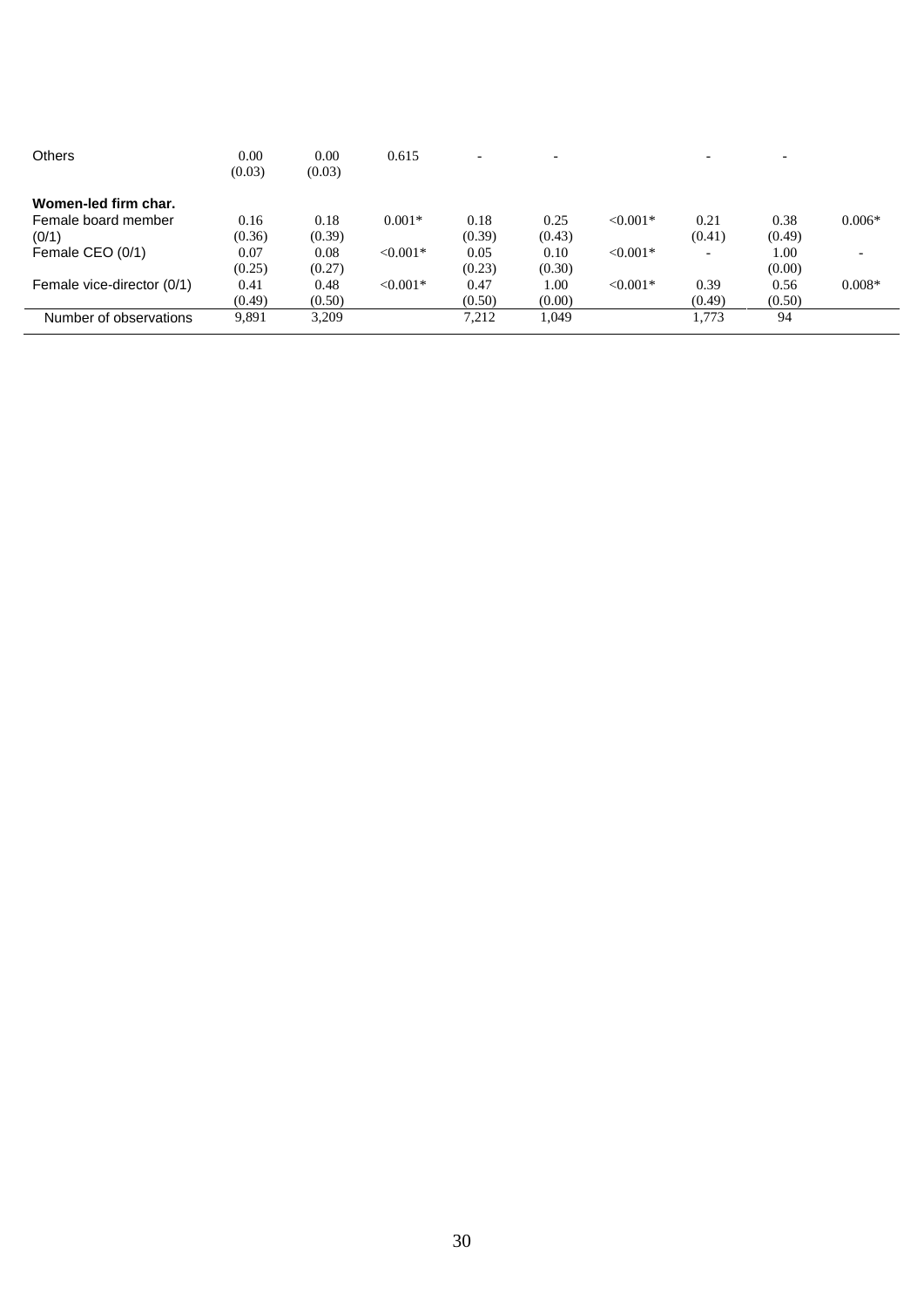| <b>Others</b>              | 0.00<br>(0.03) | 0.00<br>(0.03) | 0.615      | $\overline{\phantom{0}}$ | $\overline{\phantom{0}}$ |            | $\overline{\phantom{0}}$ | $\overline{\phantom{a}}$ |                          |
|----------------------------|----------------|----------------|------------|--------------------------|--------------------------|------------|--------------------------|--------------------------|--------------------------|
| Women-led firm char.       |                |                |            |                          |                          |            |                          |                          |                          |
| Female board member        | 0.16           | 0.18           | $0.001*$   | 0.18                     | 0.25                     | $< 0.001*$ | 0.21                     | 0.38                     | $0.006*$                 |
| (0/1)                      | (0.36)         | (0.39)         |            | (0.39)                   | (0.43)                   |            | (0.41)                   | (0.49)                   |                          |
| Female CEO (0/1)           | 0.07           | 0.08           | $< 0.001*$ | 0.05                     | 0.10                     | $< 0.001*$ | $\overline{\phantom{0}}$ | 1.00                     | $\overline{\phantom{0}}$ |
|                            | (0.25)         | (0.27)         |            | (0.23)                   | (0.30)                   |            |                          | (0.00)                   |                          |
| Female vice-director (0/1) | 0.41           | 0.48           | $< 0.001*$ | 0.47                     | 00.1                     | $< 0.001*$ | 0.39                     | 0.56                     | $0.008*$                 |
|                            | (0.49)         | (0.50)         |            | (0.50)                   | (0.00)                   |            | (0.49)                   | (0.50)                   |                          |
| Number of observations     | 9,891          | 3.209          |            | 7.212                    | 1.049                    |            | 1.773                    | 94                       |                          |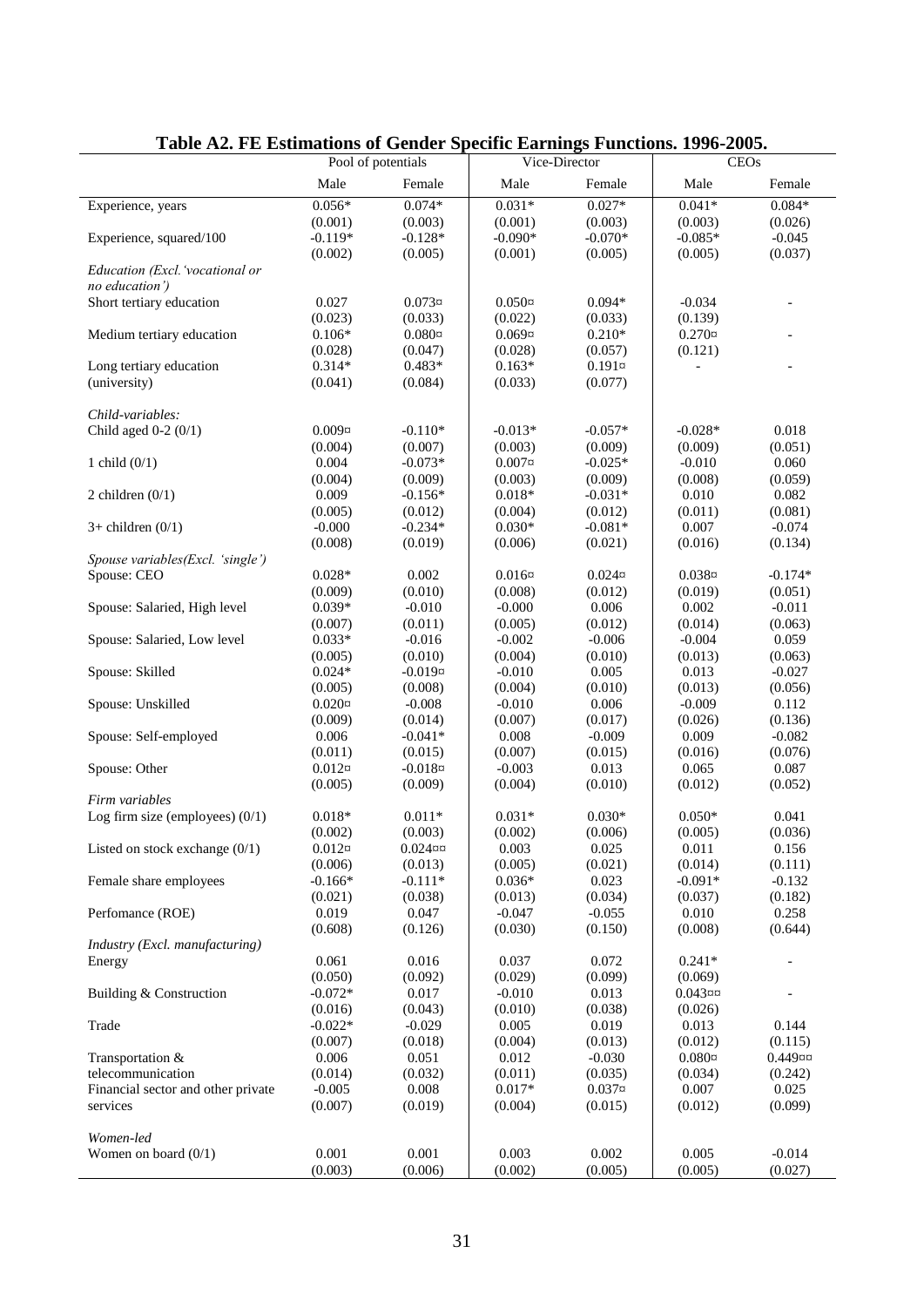|                                    | "The Estimations of Genevi Specific Earnings I anchons, 1990.<br>Pool of potentials |                                        |                   | Vice-Director          | <br><b>CEOs</b>        |                          |
|------------------------------------|-------------------------------------------------------------------------------------|----------------------------------------|-------------------|------------------------|------------------------|--------------------------|
|                                    |                                                                                     |                                        |                   |                        |                        |                          |
|                                    | Male                                                                                | Female                                 | Male              | Female                 | Male                   | Female                   |
| Experience, years                  | $0.056*$                                                                            | $0.074*$                               | $0.031*$          | $0.027*$               | $0.041*$               | $0.084*$                 |
|                                    | (0.001)                                                                             | (0.003)                                | (0.001)           | (0.003)                | (0.003)                | (0.026)                  |
| Experience, squared/100            | $-0.119*$                                                                           | $-0.128*$                              | $-0.090*$         | $-0.070*$              | $-0.085*$              | $-0.045$                 |
|                                    | (0.002)                                                                             | (0.005)                                | (0.001)           | (0.005)                | (0.005)                | (0.037)                  |
| Education (Excl. 'vocational or    |                                                                                     |                                        |                   |                        |                        |                          |
| no education')                     |                                                                                     |                                        |                   |                        |                        |                          |
| Short tertiary education           | 0.027                                                                               | $0.073$ <sub><math>\rm{x}</math></sub> | $0.050$ $\alpha$  | $0.094*$               | $-0.034$               |                          |
|                                    | (0.023)                                                                             | (0.033)                                | (0.022)           | (0.033)                | (0.139)                |                          |
| Medium tertiary education          | $0.106*$                                                                            | $0.080$ $\approx$                      | $0.069$ $\alpha$  | $0.210*$               | $0.270$ $\alpha$       |                          |
|                                    | (0.028)                                                                             | (0.047)                                | (0.028)           | (0.057)                | (0.121)                |                          |
| Long tertiary education            | $0.314*$                                                                            | $0.483*$                               | $0.163*$          | $0.191$ $\overline{a}$ | $\blacksquare$         |                          |
| (university)                       | (0.041)                                                                             | (0.084)                                | (0.033)           | (0.077)                |                        |                          |
|                                    |                                                                                     |                                        |                   |                        |                        |                          |
| Child-variables:                   |                                                                                     |                                        |                   |                        |                        |                          |
| Child aged $0-2$ $(0/1)$           | $0.009$ <sub><math>\alpha</math></sub>                                              | $-0.110*$                              | $-0.013*$         | $-0.057*$              | $-0.028*$              | 0.018                    |
|                                    | (0.004)                                                                             | (0.007)                                | (0.003)           | (0.009)                | (0.009)                | (0.051)                  |
| 1 child $(0/1)$                    | 0.004                                                                               | $-0.073*$                              | $0.007$ $\approx$ | $-0.025*$              | $-0.010$               | 0.060                    |
|                                    | (0.004)                                                                             | (0.009)                                | (0.003)           | (0.009)                | (0.008)                | (0.059)                  |
| 2 children $(0/1)$                 | 0.009                                                                               | $-0.156*$                              | $0.018*$          | $-0.031*$              | 0.010                  | 0.082                    |
|                                    | (0.005)                                                                             | (0.012)                                | (0.004)           | (0.012)                | (0.011)                | (0.081)                  |
| $3+$ children $(0/1)$              | $-0.000$                                                                            | $-0.234*$                              | $0.030*$          | $-0.081*$              | 0.007                  | $-0.074$                 |
|                                    | (0.008)                                                                             | (0.019)                                | (0.006)           | (0.021)                | (0.016)                | (0.134)                  |
| Spouse variables(Excl. 'single')   |                                                                                     |                                        |                   |                        |                        |                          |
| Spouse: CEO                        | $0.028*$                                                                            | 0.002                                  | $0.016\alpha$     | $0.024\pi$             | $0.038\alpha$          | $-0.174*$                |
|                                    | (0.009)                                                                             | (0.010)                                | (0.008)           | (0.012)                | (0.019)                | (0.051)                  |
| Spouse: Salaried, High level       | $0.039*$                                                                            | $-0.010$                               | $-0.000$          | 0.006                  | 0.002                  | $-0.011$                 |
|                                    | (0.007)                                                                             | (0.011)                                | (0.005)           | (0.012)                | (0.014)                | (0.063)                  |
| Spouse: Salaried, Low level        | $0.033*$                                                                            | $-0.016$                               | $-0.002$          | $-0.006$               | $-0.004$               | 0.059                    |
|                                    | (0.005)                                                                             | (0.010)                                | (0.004)           | (0.010)                | (0.013)                | (0.063)                  |
| Spouse: Skilled                    | $0.024*$                                                                            | $-0.019$ ¤                             | $-0.010$          | 0.005                  | 0.013                  | $-0.027$                 |
|                                    | (0.005)                                                                             | (0.008)                                | (0.004)           | (0.010)                | (0.013)                | (0.056)                  |
| Spouse: Unskilled                  | $0.020\text{m}$                                                                     | $-0.008$                               | $-0.010$          | 0.006                  | $-0.009$               | 0.112                    |
|                                    | (0.009)                                                                             | (0.014)                                | (0.007)           | (0.017)                | (0.026)                | (0.136)                  |
| Spouse: Self-employed              | 0.006                                                                               | $-0.041*$                              | 0.008             | $-0.009$               | 0.009                  | $-0.082$                 |
|                                    | (0.011)                                                                             | (0.015)                                | (0.007)           | (0.015)                | (0.016)                | (0.076)                  |
| Spouse: Other                      | $0.012\alpha$                                                                       | $-0.018$ $\,\mathrm{m}$                | $-0.003$          | 0.013                  | 0.065                  | 0.087                    |
|                                    | (0.005)                                                                             | (0.009)                                | (0.004)           | (0.010)                | (0.012)                | (0.052)                  |
| Firm variables                     |                                                                                     |                                        |                   |                        |                        |                          |
| Log firm size (employees) $(0/1)$  | $0.018*$                                                                            | $0.011*$                               | $0.031*$          | $0.030*$               | $0.050*$               | 0.041                    |
|                                    | (0.002)                                                                             | (0.003)                                | (0.002)           | (0.006)                | (0.005)                | (0.036)                  |
| Listed on stock exchange $(0/1)$   | $0.012\pi$                                                                          | $0.024$ ¤¤                             | 0.003             | 0.025                  | 0.011                  | 0.156                    |
|                                    | (0.006)                                                                             | (0.013)                                | (0.005)           | (0.021)                | (0.014)                | (0.111)                  |
| Female share employees             | $-0.166*$                                                                           | $-0.111*$                              | $0.036*$          | 0.023                  | $-0.091*$              | $-0.132$                 |
|                                    | (0.021)                                                                             | (0.038)                                | (0.013)           | (0.034)                | (0.037)                | (0.182)                  |
| Perfomance (ROE)                   | 0.019                                                                               | 0.047                                  | $-0.047$          | $-0.055$               | 0.010                  | 0.258                    |
|                                    | (0.608)                                                                             | (0.126)                                | (0.030)           | (0.150)                | (0.008)                | (0.644)                  |
| Industry (Excl. manufacturing)     |                                                                                     |                                        |                   |                        |                        |                          |
| Energy                             | 0.061                                                                               | 0.016                                  | 0.037             | 0.072                  | $0.241*$               | $\overline{\phantom{0}}$ |
|                                    | (0.050)                                                                             | (0.092)                                | (0.029)           | (0.099)                | (0.069)                |                          |
| Building & Construction            | $-0.072*$                                                                           | 0.017                                  | $-0.010$          | 0.013                  | $0.043$ <sub>xxx</sub> |                          |
|                                    | (0.016)                                                                             | (0.043)                                | (0.010)           | (0.038)                | (0.026)                |                          |
| Trade                              | $-0.022*$                                                                           | $-0.029$                               | 0.005             | 0.019                  | 0.013                  | 0.144                    |
|                                    | (0.007)                                                                             | (0.018)                                | (0.004)           | (0.013)                | (0.012)                | (0.115)                  |
| Transportation &                   | 0.006                                                                               | 0.051                                  | 0.012             | $-0.030$               | $0.080$ $\approx$      | $0.449$ ¤¤               |
| telecommunication                  | (0.014)                                                                             | (0.032)                                | (0.011)           | (0.035)                | (0.034)                | (0.242)                  |
| Financial sector and other private | $-0.005$                                                                            | 0.008                                  | $0.017*$          | $0.037$                | 0.007                  | 0.025                    |
| services                           | (0.007)                                                                             | (0.019)                                | (0.004)           | (0.015)                | (0.012)                | (0.099)                  |
|                                    |                                                                                     |                                        |                   |                        |                        |                          |
| Women-led                          |                                                                                     |                                        |                   |                        |                        |                          |
| Women on board $(0/1)$             | 0.001                                                                               | 0.001                                  | 0.003             | 0.002                  | 0.005                  | $-0.014$                 |
|                                    | (0.003)                                                                             | (0.006)                                | (0.002)           | (0.005)                | (0.005)                | (0.027)                  |

| Table A2. FE Estimations of Gender Specific Earnings Functions. 1996-2005. |  |  |
|----------------------------------------------------------------------------|--|--|
|                                                                            |  |  |